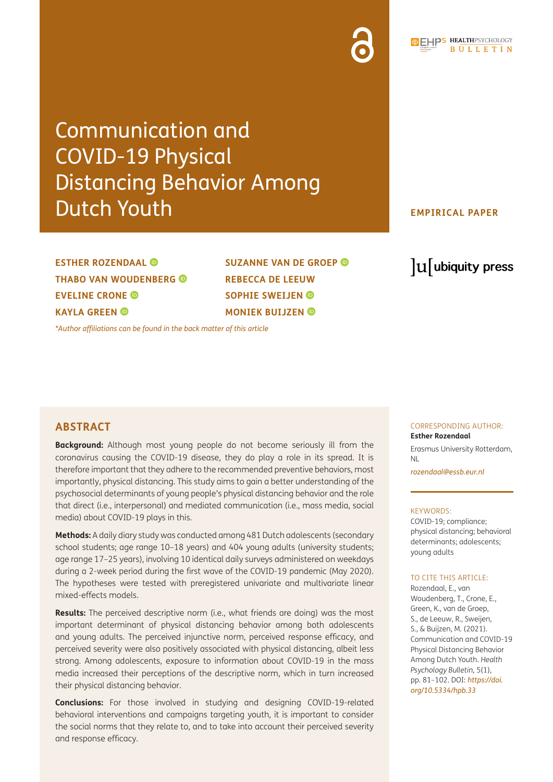# Communication and COVID-19 Physical Distancing Behavior Among Dutch Youth

## **EMPIRICAL PAPER**

## **ESTHER ROZENDAAL THABO VAN WOUDENBERG EVELINE CRONE KAYLA GREEN**

**SUZANNE VAN DE GROEP REBECCA DE LEEUW SOPHIE SWEIJEN MONIEK BUIJZEN** 

*[\\*Author affiliations can be found in the back matter of this article](#page-17-0)*

## lu ubiquity press

## **ABSTRACT**

**Background:** Although most young people do not become seriously ill from the coronavirus causing the COVID-19 disease, they do play a role in its spread. It is therefore important that they adhere to the recommended preventive behaviors, most importantly, physical distancing. This study aims to gain a better understanding of the psychosocial determinants of young people's physical distancing behavior and the role that direct (i.e., interpersonal) and mediated communication (i.e., mass media, social media) about COVID-19 plays in this.

**Methods:** A daily diary study was conducted among 481 Dutch adolescents (secondary school students; age range 10–18 years) and 404 young adults (university students; age range 17–25 years), involving 10 identical daily surveys administered on weekdays during a 2-week period during the first wave of the COVID-19 pandemic (May 2020). The hypotheses were tested with preregistered univariate and multivariate linear mixed-effects models.

**Results:** The perceived descriptive norm (i.e., what friends are doing) was the most important determinant of physical distancing behavior among both adolescents and young adults. The perceived injunctive norm, perceived response efficacy, and perceived severity were also positively associated with physical distancing, albeit less strong. Among adolescents, exposure to information about COVID-19 in the mass media increased their perceptions of the descriptive norm, which in turn increased their physical distancing behavior.

**Conclusions:** For those involved in studying and designing COVID-19-related behavioral interventions and campaigns targeting youth, it is important to consider the social norms that they relate to, and to take into account their perceived severity and response efficacy.

#### CORRESPONDING AUTHOR: **Esther Rozendaal**

Erasmus University Rotterdam, NL

*[rozendaal@essb.eur.nl](mailto:rozendaal@essb.eur.nl)*

#### KEYWORDS:

COVID-19; compliance; physical distancing; behavioral determinants; adolescents; young adults

#### TO CITE THIS ARTICLE:

Rozendaal, E., van Woudenberg, T., Crone, E., Green, K., van de Groep, S., de Leeuw, R., Sweijen, S., & Buijzen, M. (2021). Communication and COVID-19 Physical Distancing Behavior Among Dutch Youth. *Health Psychology Bulletin,* 5(1), pp. 81–102. DOI: *[https://doi.](https://doi.org/10.5334/hpb.33) [org/10.5334/hpb.33](https://doi.org/10.5334/hpb.33)*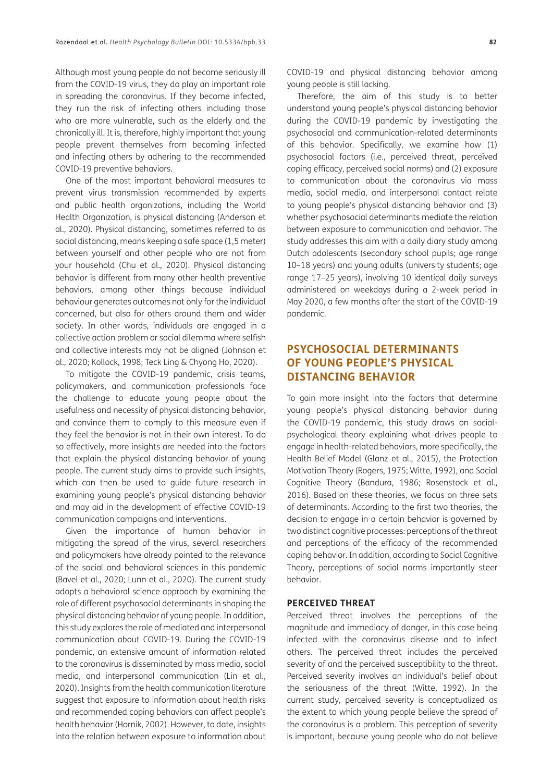Although most young people do not become seriously ill from the COVID-19 virus, they do play an important role in spreading the coronavirus. If they become infected, they run the risk of infecting others including those who are more vulnerable, such as the elderly and the chronically ill. It is, therefore, highly important that young people prevent themselves from becoming infected and infecting others by adhering to the recommended COVID-19 preventive behaviors.

One of the most important behavioral measures to prevent virus transmission recommended by experts and public health organizations, including the World Health Organization, is physical distancing (Anderson et al., 2020). Physical distancing, sometimes referred to as social distancing, means keeping a safe space (1,5 meter) between yourself and other people who are not from your household (Chu et al., 2020). Physical distancing behavior is different from many other health preventive behaviors, among other things because individual behaviour generates outcomes not only for the individual concerned, but also for others around them and wider society. In other words, individuals are engaged in a collective action problem or social dilemma where selfish and collective interests may not be aligned (Johnson et al., 2020; Kollock, 1998; Teck Ling & Chyong Ho, 2020).

To mitigate the COVID-19 pandemic, crisis teams, policymakers, and communication professionals face the challenge to educate young people about the usefulness and necessity of physical distancing behavior, and convince them to comply to this measure even if they feel the behavior is not in their own interest. To do so effectively, more insights are needed into the factors that explain the physical distancing behavior of young people. The current study aims to provide such insights, which can then be used to guide future research in examining young people's physical distancing behavior and may aid in the development of effective COVID-19 communication campaigns and interventions.

Given the importance of human behavior in mitigating the spread of the virus, several researchers and policymakers have already pointed to the relevance of the social and behavioral sciences in this pandemic (Bavel et al., 2020; Lunn et al., 2020). The current study adopts a behavioral science approach by examining the role of different psychosocial determinants in shaping the physical distancing behavior of young people. In addition, this study explores the role of mediated and interpersonal communication about COVID-19. During the COVID-19 pandemic, an extensive amount of information related to the coronavirus is disseminated by mass media, social media, and interpersonal communication (Lin et al., 2020). Insights from the health communication literature suggest that exposure to information about health risks and recommended coping behaviors can affect people's health behavior (Hornik, 2002). However, to date, insights into the relation between exposure to information about COVID-19 and physical distancing behavior among young people is still lacking.

Therefore, the aim of this study is to better understand young people's physical distancing behavior during the COVID-19 pandemic by investigating the psychosocial and communication-related determinants of this behavior. Specifically, we examine how (1) psychosocial factors (i.e., perceived threat, perceived coping efficacy, perceived social norms) and (2) exposure to communication about the coronavirus via mass media, social media, and interpersonal contact relate to young people's physical distancing behavior and (3) whether psychosocial determinants mediate the relation between exposure to communication and behavior. The study addresses this aim with a daily diary study among Dutch adolescents (secondary school pupils; age range 10–18 years) and young adults (university students; age range 17–25 years), involving 10 identical daily surveys administered on weekdays during a 2-week period in May 2020, a few months after the start of the COVID-19 pandemic.

## **PSYCHOSOCIAL DETERMINANTS OF YOUNG PEOPLE'S PHYSICAL DISTANCING BEHAVIOR**

To gain more insight into the factors that determine young people's physical distancing behavior during the COVID-19 pandemic, this study draws on socialpsychological theory explaining what drives people to engage in health-related behaviors, more specifically, the Health Belief Model (Glanz et al., 2015), the Protection Motivation Theory (Rogers, 1975; Witte, 1992), and Social Cognitive Theory (Bandura, 1986; Rosenstock et al., 2016). Based on these theories, we focus on three sets of determinants. According to the first two theories, the decision to engage in a certain behavior is governed by two distinct cognitive processes: perceptions of the threat and perceptions of the efficacy of the recommended coping behavior. In addition, according to Social Cognitive Theory, perceptions of social norms importantly steer behavior.

#### **PERCEIVED THREAT**

Perceived threat involves the perceptions of the magnitude and immediacy of danger, in this case being infected with the coronavirus disease and to infect others. The perceived threat includes the perceived severity of and the perceived susceptibility to the threat. Perceived severity involves an individual's belief about the seriousness of the threat (Witte, 1992). In the current study, perceived severity is conceptualized as the extent to which young people believe the spread of the coronavirus is a problem. This perception of severity is important, because young people who do not believe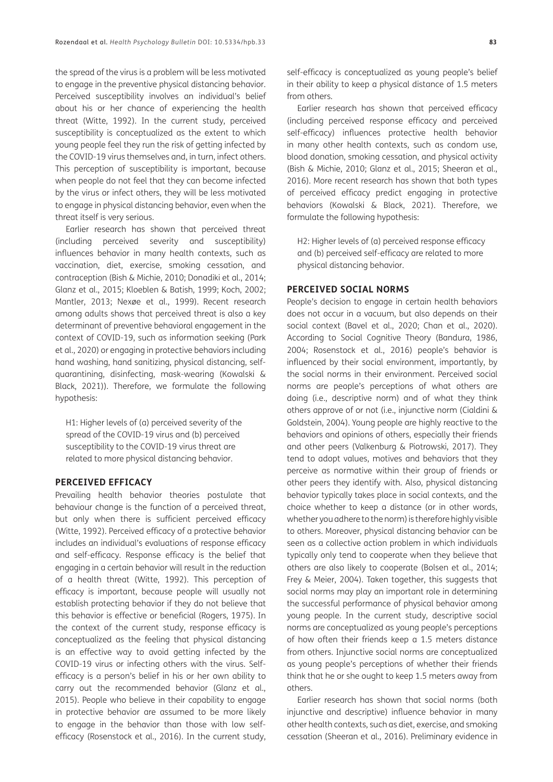the spread of the virus is a problem will be less motivated to engage in the preventive physical distancing behavior. Perceived susceptibility involves an individual's belief about his or her chance of experiencing the health threat (Witte, 1992). In the current study, perceived susceptibility is conceptualized as the extent to which young people feel they run the risk of getting infected by the COVID-19 virus themselves and, in turn, infect others. This perception of susceptibility is important, because when people do not feel that they can become infected by the virus or infect others, they will be less motivated to engage in physical distancing behavior, even when the threat itself is very serious.

Earlier research has shown that perceived threat (including perceived severity and susceptibility) influences behavior in many health contexts, such as vaccination, diet, exercise, smoking cessation, and contraception (Bish & Michie, 2010; Donadiki et al., 2014; Glanz et al., 2015; Kloeblen & Batish, 1999; Koch, 2002; Mantler, 2013; Nexøe et al., 1999). Recent research among adults shows that perceived threat is also a key determinant of preventive behavioral engagement in the context of COVID-19, such as information seeking (Park et al., 2020) or engaging in protective behaviors including hand washing, hand sanitizing, physical distancing, selfquarantining, disinfecting, mask-wearing (Kowalski & Black, 2021)). Therefore, we formulate the following hypothesis:

H1: Higher levels of (a) perceived severity of the spread of the COVID-19 virus and (b) perceived susceptibility to the COVID-19 virus threat are related to more physical distancing behavior.

#### **PERCEIVED EFFICACY**

Prevailing health behavior theories postulate that behaviour change is the function of a perceived threat, but only when there is sufficient perceived efficacy (Witte, 1992). Perceived efficacy of a protective behavior includes an individual's evaluations of response efficacy and self-efficacy. Response efficacy is the belief that engaging in a certain behavior will result in the reduction of a health threat (Witte, 1992). This perception of efficacy is important, because people will usually not establish protecting behavior if they do not believe that this behavior is effective or beneficial (Rogers, 1975). In the context of the current study, response efficacy is conceptualized as the feeling that physical distancing is an effective way to avoid getting infected by the COVID-19 virus or infecting others with the virus. Selfefficacy is a person's belief in his or her own ability to carry out the recommended behavior (Glanz et al., 2015). People who believe in their capability to engage in protective behavior are assumed to be more likely to engage in the behavior than those with low selfefficacy (Rosenstock et al., 2016). In the current study,

self-efficacy is conceptualized as young people's belief in their ability to keep a physical distance of 1.5 meters from others.

Earlier research has shown that perceived efficacy (including perceived response efficacy and perceived self-efficacy) influences protective health behavior in many other health contexts, such as condom use, blood donation, smoking cessation, and physical activity (Bish & Michie, 2010; Glanz et al., 2015; Sheeran et al., 2016). More recent research has shown that both types of perceived efficacy predict engaging in protective behaviors (Kowalski & Black, 2021). Therefore, we formulate the following hypothesis:

H2: Higher levels of (a) perceived response efficacy and (b) perceived self-efficacy are related to more physical distancing behavior.

#### **PERCEIVED SOCIAL NORMS**

People's decision to engage in certain health behaviors does not occur in a vacuum, but also depends on their social context (Bavel et al., 2020; Chan et al., 2020). According to Social Cognitive Theory (Bandura, 1986, 2004; Rosenstock et al., 2016) people's behavior is influenced by their social environment, importantly, by the social norms in their environment. Perceived social norms are people's perceptions of what others are doing (i.e., descriptive norm) and of what they think others approve of or not (i.e., injunctive norm (Cialdini & Goldstein, 2004). Young people are highly reactive to the behaviors and opinions of others, especially their friends and other peers (Valkenburg & Piotrowski, 2017). They tend to adopt values, motives and behaviors that they perceive as normative within their group of friends or other peers they identify with. Also, physical distancing behavior typically takes place in social contexts, and the choice whether to keep a distance (or in other words, whether you adhere to the norm) is therefore highly visible to others. Moreover, physical distancing behavior can be seen as a collective action problem in which individuals typically only tend to cooperate when they believe that others are also likely to cooperate (Bolsen et al., 2014; Frey & Meier, 2004). Taken together, this suggests that social norms may play an important role in determining the successful performance of physical behavior among young people. In the current study, descriptive social norms are conceptualized as young people's perceptions of how often their friends keep a 1.5 meters distance from others. Injunctive social norms are conceptualized as young people's perceptions of whether their friends think that he or she ought to keep 1.5 meters away from others.

Earlier research has shown that social norms (both injunctive and descriptive) influence behavior in many other health contexts, such as diet, exercise, and smoking cessation (Sheeran et al., 2016). Preliminary evidence in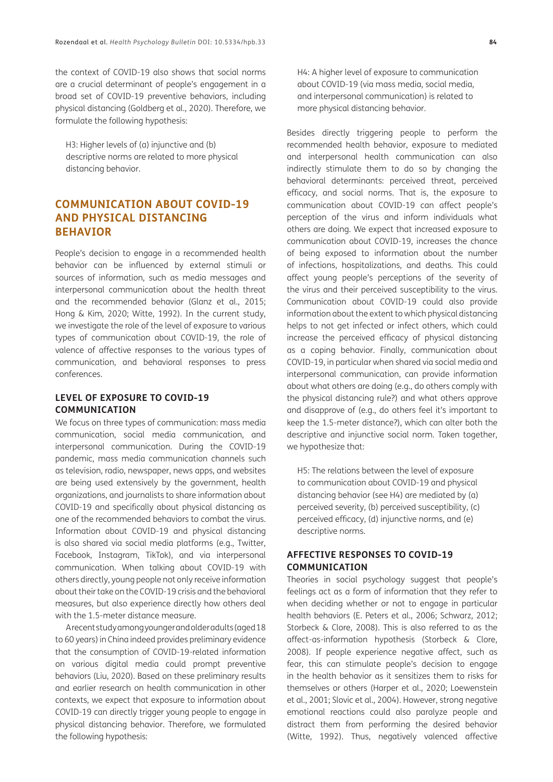the context of COVID-19 also shows that social norms are a crucial determinant of people's engagement in a broad set of COVID-19 preventive behaviors, including physical distancing (Goldberg et al., 2020). Therefore, we formulate the following hypothesis:

H3: Higher levels of (a) injunctive and (b) descriptive norms are related to more physical distancing behavior.

## **COMMUNICATION ABOUT COVID-19 AND PHYSICAL DISTANCING BEHAVIOR**

People's decision to engage in a recommended health behavior can be influenced by external stimuli or sources of information, such as media messages and interpersonal communication about the health threat and the recommended behavior (Glanz et al., 2015; Hong & Kim, 2020; Witte, 1992). In the current study, we investigate the role of the level of exposure to various types of communication about COVID-19, the role of valence of affective responses to the various types of communication, and behavioral responses to press conferences.

## **LEVEL OF EXPOSURE TO COVID-19 COMMUNICATION**

We focus on three types of communication: mass media communication, social media communication, and interpersonal communication. During the COVID-19 pandemic, mass media communication channels such as television, radio, newspaper, news apps, and websites are being used extensively by the government, health organizations, and journalists to share information about COVID-19 and specifically about physical distancing as one of the recommended behaviors to combat the virus. Information about COVID-19 and physical distancing is also shared via social media platforms (e.g., Twitter, Facebook, Instagram, TikTok), and via interpersonal communication. When talking about COVID-19 with others directly, young people not only receive information about their take on the COVID-19 crisis and the behavioral measures, but also experience directly how others deal with the 1.5-meter distance measure.

A recent study among younger and older adults (aged 18 to 60 years) in China indeed provides preliminary evidence that the consumption of COVID-19-related information on various digital media could prompt preventive behaviors (Liu, 2020). Based on these preliminary results and earlier research on health communication in other contexts, we expect that exposure to information about COVID-19 can directly trigger young people to engage in physical distancing behavior. Therefore, we formulated the following hypothesis:

H4: A higher level of exposure to communication about COVID-19 (via mass media, social media, and interpersonal communication) is related to more physical distancing behavior.

Besides directly triggering people to perform the recommended health behavior, exposure to mediated and interpersonal health communication can also indirectly stimulate them to do so by changing the behavioral determinants: perceived threat, perceived efficacy, and social norms. That is, the exposure to communication about COVID-19 can affect people's perception of the virus and inform individuals what others are doing. We expect that increased exposure to communication about COVID-19, increases the chance of being exposed to information about the number of infections, hospitalizations, and deaths. This could affect young people's perceptions of the severity of the virus and their perceived susceptibility to the virus. Communication about COVID-19 could also provide information about the extent to which physical distancing helps to not get infected or infect others, which could increase the perceived efficacy of physical distancing as a coping behavior. Finally, communication about COVID-19, in particular when shared via social media and interpersonal communication, can provide information about what others are doing (e.g., do others comply with the physical distancing rule?) and what others approve and disapprove of (e.g., do others feel it's important to keep the 1.5-meter distance?), which can alter both the descriptive and injunctive social norm. Taken together, we hypothesize that:

H5: The relations between the level of exposure to communication about COVID-19 and physical distancing behavior (see H4) are mediated by (a) perceived severity, (b) perceived susceptibility, (c) perceived efficacy, (d) injunctive norms, and (e) descriptive norms.

## **AFFECTIVE RESPONSES TO COVID-19 COMMUNICATION**

Theories in social psychology suggest that people's feelings act as a form of information that they refer to when deciding whether or not to engage in particular health behaviors (E. Peters et al., 2006; Schwarz, 2012; Storbeck & Clore, 2008). This is also referred to as the affect-as-information hypothesis (Storbeck & Clore, 2008). If people experience negative affect, such as fear, this can stimulate people's decision to engage in the health behavior as it sensitizes them to risks for themselves or others (Harper et al., 2020; Loewenstein et al., 2001; Slovic et al., 2004). However, strong negative emotional reactions could also paralyze people and distract them from performing the desired behavior (Witte, 1992). Thus, negatively valenced affective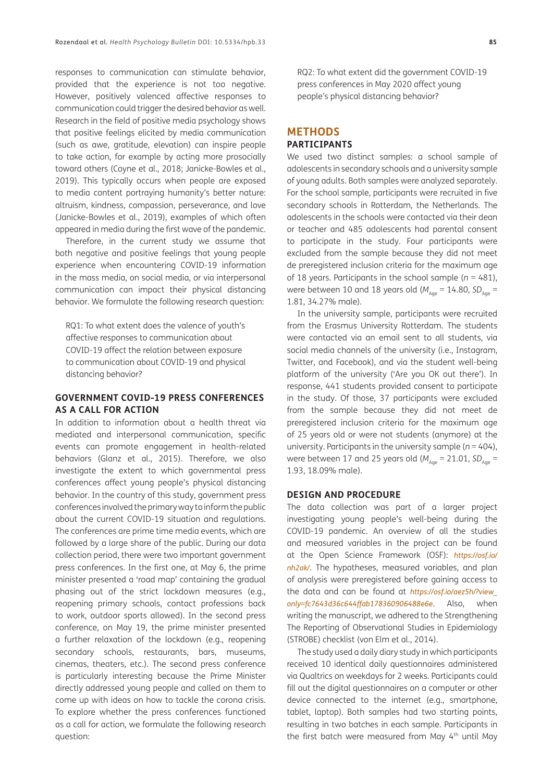responses to communication can stimulate behavior, provided that the experience is not too negative. However, positively valenced affective responses to communication could trigger the desired behavior as well. Research in the field of positive media psychology shows that positive feelings elicited by media communication (such as awe, gratitude, elevation) can inspire people to take action, for example by acting more prosocially toward others (Coyne et al., 2018; Janicke-Bowles et al., 2019). This typically occurs when people are exposed to media content portraying humanity's better nature: altruism, kindness, compassion, perseverance, and love (Janicke-Bowles et al., 2019), examples of which often appeared in media during the first wave of the pandemic.

Therefore, in the current study we assume that both negative and positive feelings that young people experience when encountering COVID-19 information in the mass media, on social media, or via interpersonal communication can impact their physical distancing behavior. We formulate the following research question:

RQ1: To what extent does the valence of youth's affective responses to communication about COVID-19 affect the relation between exposure to communication about COVID-19 and physical distancing behavior?

#### **GOVERNMENT COVID-19 PRESS CONFERENCES AS A CALL FOR ACTION**

In addition to information about a health threat via mediated and interpersonal communication, specific events can promote engagement in health-related behaviors (Glanz et al., 2015). Therefore, we also investigate the extent to which governmental press conferences affect young people's physical distancing behavior. In the country of this study, government press conferences involved the primary way to inform the public about the current COVID-19 situation and regulations. The conferences are prime time media events, which are followed by a large share of the public. During our data collection period, there were two important government press conferences. In the first one, at May 6, the prime minister presented a 'road map' containing the gradual phasing out of the strict lockdown measures (e.g., reopening primary schools, contact professions back to work, outdoor sports allowed). In the second press conference, on May 19, the prime minister presented a further relaxation of the lockdown (e.g., reopening secondary schools, restaurants, bars, museums, cinemas, theaters, etc.). The second press conference is particularly interesting because the Prime Minister directly addressed young people and called on them to come up with ideas on how to tackle the corona crisis. To explore whether the press conferences functioned as a call for action, we formulate the following research question:

RQ2: To what extent did the government COVID-19 press conferences in May 2020 affect young people's physical distancing behavior?

#### **METHODS PARTICIPANTS**

We used two distinct samples: a school sample of adolescents in secondary schools and a university sample of young adults. Both samples were analyzed separately. For the school sample, participants were recruited in five secondary schools in Rotterdam, the Netherlands. The adolescents in the schools were contacted via their dean or teacher and 485 adolescents had parental consent to participate in the study. Four participants were excluded from the sample because they did not meet de preregistered inclusion criteria for the maximum age of 18 years. Participants in the school sample (*n* = 481), were between 10 and 18 years old ( $M_{A_{\text{QCD}}} = 14.80$ ,  $SD_{A_{\text{QCD}}} =$ 1.81, 34.27% male).

In the university sample, participants were recruited from the Erasmus University Rotterdam. The students were contacted via an email sent to all students, via social media channels of the university (i.e., Instagram, Twitter, and Facebook), and via the student well-being platform of the university ('Are you OK out there'). In response, 441 students provided consent to participate in the study. Of those, 37 participants were excluded from the sample because they did not meet de preregistered inclusion criteria for the maximum age of 25 years old or were not students (anymore) at the university. Participants in the university sample (*n* = 404), were between 17 and 25 years old ( $M_{A_{\text{Qe}}}$  = 21.01, SD<sub>Age</sub> = 1.93, 18.09% male).

#### **DESIGN AND PROCEDURE**

The data collection was part of a larger project investigating young people's well-being during the COVID-19 pandemic. An overview of all the studies and measured variables in the project can be found at the Open Science Framework (OSF): *[https://osf.io/](https://osf.io/nh2ak/) [nh2ak/](https://osf.io/nh2ak/)*. The hypotheses, measured variables, and plan of analysis were preregistered before gaining access to the data and can be found at *[https://osf.io/aez5h/?view\\_](https://osf.io/aez5h/?view_only=fc7643d36c644ffab178360906488e6e) [only=fc7643d36c644ffab178360906488e6e](https://osf.io/aez5h/?view_only=fc7643d36c644ffab178360906488e6e)*. Also, when writing the manuscript, we adhered to the Strengthening The Reporting of Observational Studies in Epidemiology (STROBE) checklist (von Elm et al., 2014).

The study used a daily diary study in which participants received 10 identical daily questionnaires administered via Qualtrics on weekdays for 2 weeks. Participants could fill out the digital questionnaires on a computer or other device connected to the internet (e.g., smartphone, tablet, laptop). Both samples had two starting points, resulting in two batches in each sample. Participants in the first batch were measured from May 4<sup>th</sup> until May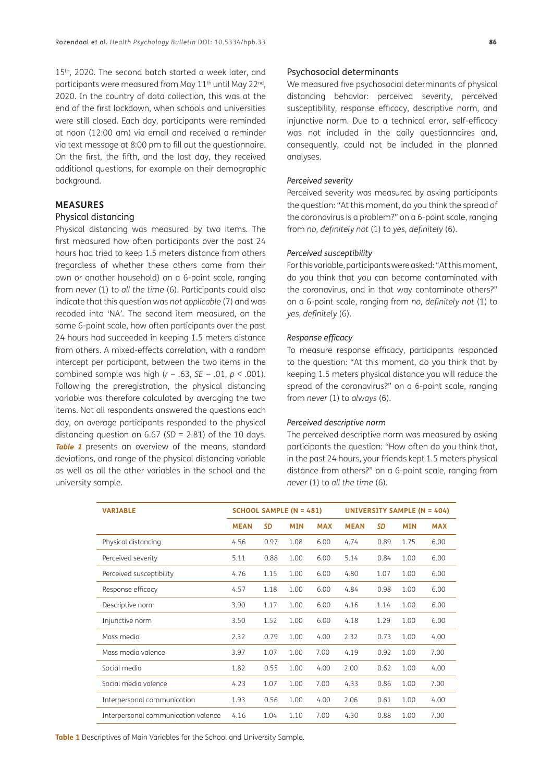15<sup>th</sup>, 2020. The second batch started a week later, and participants were measured from May 11<sup>th</sup> until May 22<sup>nd</sup>, 2020. In the country of data collection, this was at the end of the first lockdown, when schools and universities were still closed. Each day, participants were reminded at noon (12:00 am) via email and received a reminder via text message at 8:00 pm to fill out the questionnaire. On the first, the fifth, and the last day, they received additional questions, for example on their demographic background.

#### **MEASURES**

#### Physical distancing

Physical distancing was measured by two items. The first measured how often participants over the past 24 hours had tried to keep 1.5 meters distance from others (regardless of whether these others came from their own or another household) on a 6-point scale, ranging from *never* (1) to *all the time* (6). Participants could also indicate that this question was *not applicable* (7) and was recoded into 'NA'. The second item measured, on the same 6-point scale, how often participants over the past 24 hours had succeeded in keeping 1.5 meters distance from others. A mixed-effects correlation, with a random intercept per participant, between the two items in the combined sample was high (*r* = .63, *SE* = .01, *p <* .001). Following the preregistration, the physical distancing variable was therefore calculated by averaging the two items. Not all respondents answered the questions each day, on average participants responded to the physical distancing question on 6.67 (*SD* = 2.81) of the 10 days. **[Table 1](#page-5-0)** presents an overview of the means, standard deviations, and range of the physical distancing variable as well as all the other variables in the school and the university sample.

#### Psychosocial determinants

We measured five psychosocial determinants of physical distancing behavior: perceived severity, perceived susceptibility, response efficacy, descriptive norm, and injunctive norm. Due to a technical error, self-efficacy was not included in the daily questionnaires and, consequently, could not be included in the planned analyses.

#### *Perceived severity*

Perceived severity was measured by asking participants the question: "At this moment, do you think the spread of the coronavirus is a problem?" on a 6-point scale, ranging from *no, definitely not* (1) to *yes, definitely* (6).

#### *Perceived susceptibility*

For this variable, participants were asked: "At this moment, do you think that you can become contaminated with the coronavirus, and in that way contaminate others?" on a 6-point scale, ranging from *no, definitely not* (1) to *yes, definitely* (6).

#### *Response efficacy*

To measure response efficacy, participants responded to the question: "At this moment, do you think that by keeping 1.5 meters physical distance you will reduce the spread of the coronavirus?" on a 6-point scale, ranging from *never* (1) to *always* (6).

#### *Perceived descriptive norm*

The perceived descriptive norm was measured by asking participants the question: "How often do you think that, in the past 24 hours, your friends kept 1.5 meters physical distance from others?" on a 6-point scale, ranging from *never* (1) to *all the time* (6).

| <b>VARIABLE</b>                     |             |      | SCHOOL SAMPLE (N = 481) |            | UNIVERSITY SAMPLE (N = 404) |      |            |            |
|-------------------------------------|-------------|------|-------------------------|------------|-----------------------------|------|------------|------------|
|                                     | <b>MEAN</b> | SD   | <b>MIN</b>              | <b>MAX</b> | <b>MEAN</b>                 | SD   | <b>MIN</b> | <b>MAX</b> |
| Physical distancing                 | 4.56        | 0.97 | 1.08                    | 6.00       | 4.74                        | 0.89 | 1.75       | 6.00       |
| Perceived severity                  | 5.11        | 0.88 | 1.00                    | 6.00       | 5.14                        | 0.84 | 1.00       | 6.00       |
| Perceived susceptibility            | 4.76        | 1.15 | 1.00                    | 6.00       | 4.80                        | 1.07 | 1.00       | 6.00       |
| Response efficacy                   | 4.57        | 1.18 | 1.00                    | 6.00       | 4.84                        | 0.98 | 1.00       | 6.00       |
| Descriptive norm                    | 3.90        | 1.17 | 1.00                    | 6.00       | 4.16                        | 1.14 | 1.00       | 6.00       |
| Injunctive norm                     | 3.50        | 1.52 | 1.00                    | 6.00       | 4.18                        | 1.29 | 1.00       | 6.00       |
| Mass media                          | 2.32        | 0.79 | 1.00                    | 4.00       | 2.32                        | 0.73 | 1.00       | 4.00       |
| Mass media valence                  | 3.97        | 1.07 | 1.00                    | 7.00       | 4.19                        | 0.92 | 1.00       | 7.00       |
| Social media                        | 1.82        | 0.55 | 1.00                    | 4.00       | 2.00                        | 0.62 | 1.00       | 4.00       |
| Social media valence                | 4.23        | 1.07 | 1.00                    | 7.00       | 4.33                        | 0.86 | 1.00       | 7.00       |
| Interpersonal communication         | 1.93        | 0.56 | 1.00                    | 4.00       | 2.06                        | 0.61 | 1.00       | 4.00       |
| Interpersonal communication valence | 4.16        | 1.04 | 1.10                    | 7.00       | 4.30                        | 0.88 | 1.00       | 7.00       |

<span id="page-5-0"></span>**Table 1** Descriptives of Main Variables for the School and University Sample.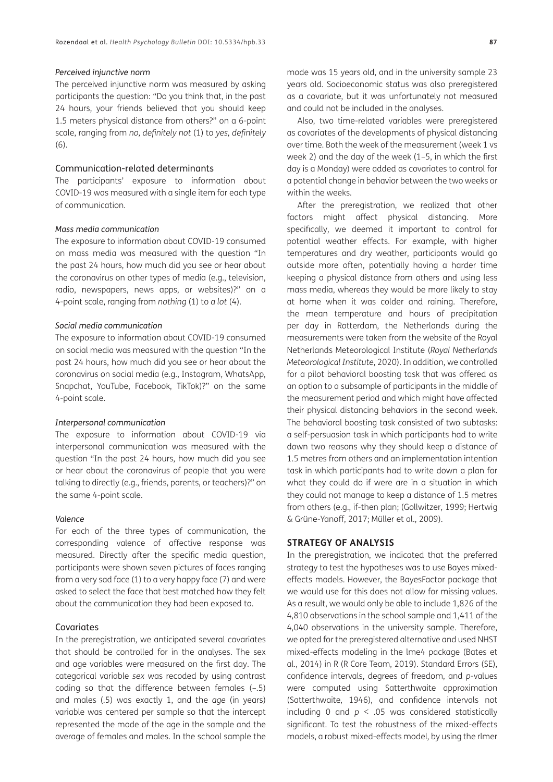#### *Perceived injunctive norm*

The perceived injunctive norm was measured by asking participants the question: "Do you think that, in the past 24 hours, your friends believed that you should keep 1.5 meters physical distance from others?" on a 6-point scale, ranging from *no, definitely not* (1) to *yes, definitely* (6).

#### Communication-related determinants

The participants' exposure to information about COVID-19 was measured with a single item for each type of communication.

#### *Mass media communication*

The exposure to information about COVID-19 consumed on mass media was measured with the question "In the past 24 hours, how much did you see or hear about the coronavirus on other types of media (e.g., television, radio, newspapers, news apps, or websites)?" on a 4-point scale, ranging from *nothing* (1) to *a lot* (4).

#### *Social media communication*

The exposure to information about COVID-19 consumed on social media was measured with the question "In the past 24 hours, how much did you see or hear about the coronavirus on social media (e.g., Instagram, WhatsApp, Snapchat, YouTube, Facebook, TikTok)?" on the same 4-point scale.

#### *Interpersonal communication*

The exposure to information about COVID-19 via interpersonal communication was measured with the question "In the past 24 hours, how much did you see or hear about the coronavirus of people that you were talking to directly (e.g., friends, parents, or teachers)?" on the same 4-point scale.

#### *Valence*

For each of the three types of communication, the corresponding valence of affective response was measured. Directly after the specific media question, participants were shown seven pictures of faces ranging from a very sad face (1) to a very happy face (7) and were asked to select the face that best matched how they felt about the communication they had been exposed to.

#### Covariates

In the preregistration, we anticipated several covariates that should be controlled for in the analyses. The sex and age variables were measured on the first day. The categorical variable *sex* was recoded by using contrast coding so that the difference between females (–.5) and males (.5) was exactly 1, and the *age* (in years) variable was centered per sample so that the intercept represented the mode of the age in the sample and the average of females and males. In the school sample the

mode was 15 years old, and in the university sample 23 years old. Socioeconomic status was also preregistered as a covariate, but it was unfortunately not measured and could not be included in the analyses.

Also, two time-related variables were preregistered as covariates of the developments of physical distancing over time. Both the week of the measurement (week 1 vs week 2) and the day of the week (1–5, in which the first day is a Monday) were added as covariates to control for a potential change in behavior between the two weeks or within the weeks.

After the preregistration, we realized that other factors might affect physical distancing. More specifically, we deemed it important to control for potential weather effects. For example, with higher temperatures and dry weather, participants would go outside more often, potentially having a harder time keeping a physical distance from others and using less mass media, whereas they would be more likely to stay at home when it was colder and raining. Therefore, the mean temperature and hours of precipitation per day in Rotterdam, the Netherlands during the measurements were taken from the website of the Royal Netherlands Meteorological Institute (*Royal Netherlands Meteorological Institute*, 2020). In addition, we controlled for a pilot behavioral boosting task that was offered as an option to a subsample of participants in the middle of the measurement period and which might have affected their physical distancing behaviors in the second week. The behavioral boosting task consisted of two subtasks: a self-persuasion task in which participants had to write down two reasons why they should keep a distance of 1.5 metres from others and an implementation intention task in which participants had to write down a plan for what they could do if were are in a situation in which they could not manage to keep a distance of 1.5 metres from others (e.g., if-then plan; (Gollwitzer, 1999; Hertwig & Grüne-Yanoff, 2017; Müller et al., 2009).

#### **STRATEGY OF ANALYSIS**

In the preregistration, we indicated that the preferred strategy to test the hypotheses was to use Bayes mixedeffects models. However, the BayesFactor package that we would use for this does not allow for missing values. As a result, we would only be able to include 1,826 of the 4,810 observations in the school sample and 1,411 of the 4,040 observations in the university sample. Therefore, we opted for the preregistered alternative and used NHST mixed-effects modeling in the lme4 package (Bates et al., 2014) in R (R Core Team, 2019). Standard Errors (SE), confidence intervals, degrees of freedom, and *p*-values were computed using Satterthwaite approximation (Satterthwaite, 1946), and confidence intervals not including 0 and *p* < .05 was considered statistically significant. To test the robustness of the mixed-effects models, a robust mixed-effects model, by using the rlmer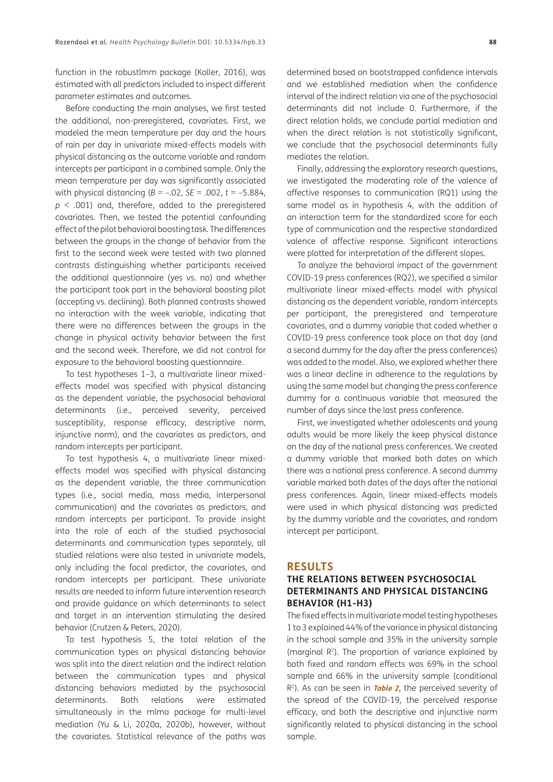function in the robustlmm package (Koller, 2016), was estimated with all predictors included to inspect different parameter estimates and outcomes.

Before conducting the main analyses, we first tested the additional, non-preregistered, covariates. First, we modeled the mean temperature per day and the hours of rain per day in univariate mixed-effects models with physical distancing as the outcome variable and random intercepts per participant in a combined sample. Only the mean temperature per day was significantly associated with physical distancing (*B =* –.02, *SE* = .002, *t* = –5.884, *p* < .001) and, therefore, added to the preregistered covariates. Then, we tested the potential confounding effect of the pilot behavioral boosting task. The differences between the groups in the change of behavior from the first to the second week were tested with two planned contrasts distinguishing whether participants received the additional questionnaire (yes vs. no) and whether the participant took part in the behavioral boosting pilot (accepting vs. declining). Both planned contrasts showed no interaction with the week variable, indicating that there were no differences between the groups in the change in physical activity behavior between the first and the second week. Therefore, we did not control for exposure to the behavioral boosting questionnaire.

To test hypotheses 1–3, a multivariate linear mixedeffects model was specified with physical distancing as the dependent variable, the psychosocial behavioral determinants (i.e., perceived severity, perceived susceptibility, response efficacy, descriptive norm, injunctive norm), and the covariates as predictors, and random intercepts per participant.

To test hypothesis 4, a multivariate linear mixedeffects model was specified with physical distancing as the dependent variable, the three communication types (i.e., social media, mass media, interpersonal communication) and the covariates as predictors, and random intercepts per participant. To provide insight into the role of each of the studied psychosocial determinants and communication types separately, all studied relations were also tested in univariate models, only including the focal predictor, the covariates, and random intercepts per participant. These univariate results are needed to inform future intervention research and provide guidance on which determinants to select and target in an intervention stimulating the desired behavior (Crutzen & Peters, 2020).

To test hypothesis 5, the total relation of the communication types on physical distancing behavior was split into the direct relation and the indirect relation between the communication types and physical distancing behaviors mediated by the psychosocial determinants. Both relations were estimated simultaneously in the mlma package for multi-level mediation (Yu & Li, 2020a, 2020b), however, without the covariates. Statistical relevance of the paths was determined based on bootstrapped confidence intervals and we established mediation when the confidence interval of the indirect relation via one of the psychosocial determinants did not include 0. Furthermore, if the direct relation holds, we conclude partial mediation and when the direct relation is not statistically significant, we conclude that the psychosocial determinants fully mediates the relation.

Finally, addressing the exploratory research questions, we investigated the moderating role of the valence of affective responses to communication (RQ1) using the same model as in hypothesis 4, with the addition of an interaction term for the standardized score for each type of communication and the respective standardized valence of affective response. Significant interactions were plotted for interpretation of the different slopes.

To analyze the behavioral impact of the government COVID-19 press conferences (RQ2), we specified a similar multivariate linear mixed-effects model with physical distancing as the dependent variable, random intercepts per participant, the preregistered and temperature covariates, and a dummy variable that coded whether a COVID-19 press conference took place on that day (and a second dummy for the day after the press conferences) was added to the model. Also, we explored whether there was a linear decline in adherence to the regulations by using the same model but changing the press conference dummy for a continuous variable that measured the number of days since the last press conference.

First, we investigated whether adolescents and young adults would be more likely the keep physical distance on the day of the national press conferences. We created a dummy variable that marked both dates on which there was a national press conference. A second dummy variable marked both dates of the days after the national press conferences. Again, linear mixed-effects models were used in which physical distancing was predicted by the dummy variable and the covariates, and random intercept per participant.

#### **RESULTS**

## **THE RELATIONS BETWEEN PSYCHOSOCIAL DETERMINANTS AND PHYSICAL DISTANCING BEHAVIOR (H1-H3)**

The fixed effects in multivariate model testing hypotheses 1 to 3 explained 44% of the variance in physical distancing in the school sample and 35% in the university sample (marginal  $R^2$ ). The proportion of variance explained by both fixed and random effects was 69% in the school sample and 66% in the university sample (conditional R2). As can be seen in **[Table 2](#page-8-0)**, the perceived severity of the spread of the COVID-19, the perceived response efficacy, and both the descriptive and injunctive norm significantly related to physical distancing in the school sample.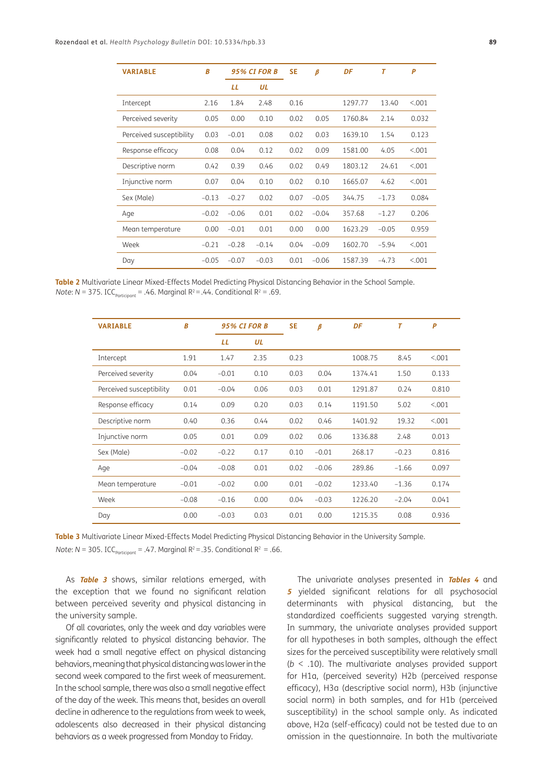| <b>VARIABLE</b>          | B       |         | <b>95% CI FOR B</b> | <b>SE</b><br>$\beta$ |         | DF      | T       | P       |
|--------------------------|---------|---------|---------------------|----------------------|---------|---------|---------|---------|
|                          |         | LL      | UL                  |                      |         |         |         |         |
| Intercept                | 2.16    | 1.84    | 2.48                | 0.16                 |         | 1297.77 | 13.40   | < 0.01  |
| Perceived severity       | 0.05    | 0.00    | 0.10                | 0.02                 | 0.05    | 1760.84 | 2.14    | 0.032   |
| Perceived susceptibility | 0.03    | $-0.01$ | 0.08                | 0.02                 | 0.03    | 1639.10 | 1.54    | 0.123   |
| Response efficacy        | 0.08    | 0.04    | 0.12                | 0.02                 | 0.09    | 1581.00 | 4.05    | < 0.001 |
| Descriptive norm         | 0.42    | 0.39    | 0.46                | 0.02                 | 0.49    | 1803.12 | 24.61   | < 0.01  |
| Injunctive norm          | 0.07    | 0.04    | 0.10                | 0.02                 | 0.10    | 1665.07 | 4.62    | < 0.001 |
| Sex (Male)               | $-0.13$ | $-0.27$ | 0.02                | 0.07                 | $-0.05$ | 344.75  | $-1.73$ | 0.084   |
| Age                      | $-0.02$ | $-0.06$ | 0.01                | 0.02                 | $-0.04$ | 357.68  | $-1.27$ | 0.206   |
| Mean temperature         | 0.00    | $-0.01$ | 0.01                | 0.00                 | 0.00    | 1623.29 | $-0.05$ | 0.959   |
| Week                     | $-0.21$ | $-0.28$ | $-0.14$             | 0.04                 | $-0.09$ | 1602.70 | $-5.94$ | < 0.001 |
| Day                      | $-0.05$ | $-0.07$ | $-0.03$             | 0.01                 | $-0.06$ | 1587.39 | $-4.73$ | < 0.001 |

<span id="page-8-0"></span>**Table 2** Multivariate Linear Mixed-Effects Model Predicting Physical Distancing Behavior in the School Sample. *Note*:  $N = 375$ . ICC<sub>participant</sub> = .46. Marginal R<sup>2</sup> = .44. Conditional R<sup>2</sup> = .69.

| <b>VARIABLE</b>          | B       |         | <b>95% CI FOR B</b> | <b>SE</b> | $\beta$ | DF      | T       | P       |
|--------------------------|---------|---------|---------------------|-----------|---------|---------|---------|---------|
|                          |         | LL      | UL                  |           |         |         |         |         |
| Intercept                | 1.91    | 1.47    | 2.35                | 0.23      |         | 1008.75 | 8.45    | < 0.001 |
| Perceived severity       | 0.04    | $-0.01$ | 0.10                | 0.03      | 0.04    | 1374.41 | 1.50    | 0.133   |
| Perceived susceptibility | 0.01    | $-0.04$ | 0.06                | 0.03      | 0.01    | 1291.87 | 0.24    | 0.810   |
| Response efficacy        | 0.14    | 0.09    | 0.20                | 0.03      | 0.14    | 1191.50 | 5.02    | < 001   |
| Descriptive norm         | 0.40    | 0.36    | 0.44                | 0.02      | 0.46    | 1401.92 | 19.32   | < 001   |
| Injunctive norm          | 0.05    | 0.01    | 0.09                | 0.02      | 0.06    | 1336.88 | 2.48    | 0.013   |
| Sex (Male)               | $-0.02$ | $-0.22$ | 0.17                | 0.10      | $-0.01$ | 268.17  | $-0.23$ | 0.816   |
| Age                      | $-0.04$ | $-0.08$ | 0.01                | 0.02      | $-0.06$ | 289.86  | $-1.66$ | 0.097   |
| Mean temperature         | $-0.01$ | $-0.02$ | 0.00                | 0.01      | $-0.02$ | 1233.40 | $-1.36$ | 0.174   |
| Week                     | $-0.08$ | $-0.16$ | 0.00                | 0.04      | $-0.03$ | 1226.20 | $-2.04$ | 0.041   |
| Day                      | 0.00    | $-0.03$ | 0.03                | 0.01      | 0.00    | 1215.35 | 0.08    | 0.936   |

<span id="page-8-1"></span>**Table 3** Multivariate Linear Mixed-Effects Model Predicting Physical Distancing Behavior in the University Sample. *Note*:  $N = 305$ . ICC<sub>Participant</sub> = .47. Marginal R<sup>2</sup> = .35. Conditional R<sup>2</sup> = .66.

As **[Table 3](#page-8-1)** shows, similar relations emerged, with the exception that we found no significant relation between perceived severity and physical distancing in

the university sample.

Of all covariates, only the week and day variables were significantly related to physical distancing behavior. The week had a small negative effect on physical distancing behaviors, meaning that physical distancing was lower in the second week compared to the first week of measurement. In the school sample, there was also a small negative effect of the day of the week. This means that, besides an overall decline in adherence to the regulations from week to week, adolescents also decreased in their physical distancing behaviors as a week progressed from Monday to Friday.

The univariate analyses presented in **[Tables 4](#page-9-0)** and **<sup>5</sup>** yielded significant relations for all psychosocial determinants with physical distancing, but the standardized coefficients suggested varying strength. In summary, the univariate analyses provided support for all hypotheses in both samples, although the effect sizes for the perceived susceptibility were relatively small (*b* < .10). The multivariate analyses provided support for H1a, (perceived severity) H2b (perceived response efficacy), H3a (descriptive social norm), H3b (injunctive social norm) in both samples, and for H1b (perceived susceptibility) in the school sample only. As indicated above, H2a (self-efficacy) could not be tested due to an omission in the questionnaire. In both the multivariate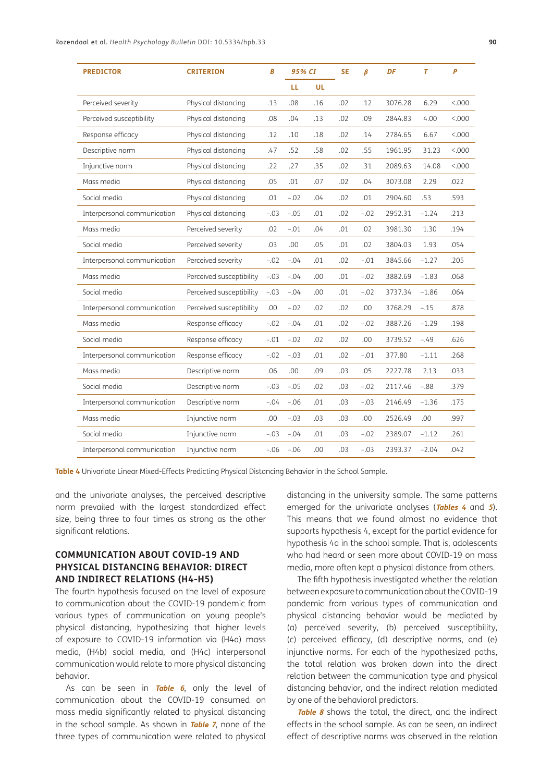| <b>PREDICTOR</b>            | <b>CRITERION</b>         | B      | 95% CI |     | <b>SE</b> | $\boldsymbol{\beta}$ | DF      | $\overline{I}$ | $\mathbf{P}$ |
|-----------------------------|--------------------------|--------|--------|-----|-----------|----------------------|---------|----------------|--------------|
|                             |                          |        | LL.    | UL  |           |                      |         |                |              |
| Perceived severity          | Physical distancing      | .13    | .08    | .16 | .02       | .12                  | 3076.28 | 6.29           | < 000        |
| Perceived susceptibility    | Physical distancing      | .08    | .04    | .13 | .02       | .09                  | 2844.83 | 4.00           | < 000        |
| Response efficacy           | Physical distancing      | .12    | .10    | .18 | .02       | .14                  | 2784.65 | 6.67           | < 000        |
| Descriptive norm            | Physical distancing      | .47    | .52    | .58 | .02       | .55                  | 1961.95 | 31.23          | < 000        |
| Injunctive norm             | Physical distancing      | .22    | .27    | .35 | .02       | .31                  | 2089.63 | 14.08          | < .000       |
| Mass media                  | Physical distancing      | .05    | .01    | .07 | .02       | .04                  | 3073.08 | 2.29           | .022         |
| Social media                | Physical distancing      | .01    | $-.02$ | .04 | .02       | .01                  | 2904.60 | .53            | .593         |
| Interpersonal communication | Physical distancing      | $-.03$ | $-.05$ | .01 | .02       | $-.02$               | 2952.31 | $-1.24$        | .213         |
| Mass media                  | Perceived severity       | .02    | $-.01$ | .04 | .01       | .02                  | 3981.30 | 1.30           | .194         |
| Social media                | Perceived severity       | .03    | .00    | .05 | .01       | .02                  | 3804.03 | 1.93           | .054         |
| Interpersonal communication | Perceived severity       | $-.02$ | $-.04$ | .01 | .02       | $-.01$               | 3845.66 | $-1.27$        | .205         |
| Mass media                  | Perceived susceptibility | $-.03$ | $-.04$ | .00 | .01       | $-.02$               | 3882.69 | $-1.83$        | .068         |
| Social media                | Perceived susceptibility | $-.03$ | $-.04$ | .00 | .01       | $-.02$               | 3737.34 | $-1.86$        | .064         |
| Interpersonal communication | Perceived susceptibility | .00    | $-.02$ | .02 | .02       | .00                  | 3768.29 | $-.15$         | .878         |
| Mass media                  | Response efficacy        | $-.02$ | $-.04$ | .01 | .02       | $-.02$               | 3887.26 | $-1.29$        | .198         |
| Social media                | Response efficacy        | $-.01$ | $-.02$ | .02 | .02       | .00                  | 3739.52 | $-.49$         | .626         |
| Interpersonal communication | Response efficacy        | $-.02$ | $-.03$ | .01 | .02       | $-.01$               | 377.80  | $-1.11$        | .268         |
| Mass media                  | Descriptive norm         | .06    | .00    | .09 | .03       | .05                  | 2227.78 | 2.13           | .033         |
| Social media                | Descriptive norm         | $-.03$ | $-.05$ | .02 | .03       | $-.02$               | 2117.46 | $-.88$         | .379         |
| Interpersonal communication | Descriptive norm         | $-.04$ | $-.06$ | .01 | .03       | $-.03$               | 2146.49 | $-1.36$        | .175         |
| Mass media                  | Injunctive norm          | .00    | $-.03$ | .03 | .03       | .00                  | 2526.49 | .00            | .997         |
| Social media                | Injunctive norm          | $-.03$ | $-.04$ | .01 | .03       | $-.02$               | 2389.07 | $-1.12$        | .261         |
| Interpersonal communication | Injunctive norm          | $-.06$ | $-.06$ | .00 | .03       | $-.03$               | 2393.37 | $-2.04$        | .042         |

<span id="page-9-0"></span>**Table 4** Univariate Linear Mixed-Effects Predicting Physical Distancing Behavior in the School Sample.

and the univariate analyses, the perceived descriptive norm prevailed with the largest standardized effect size, being three to four times as strong as the other significant relations.

## **COMMUNICATION ABOUT COVID-19 AND PHYSICAL DISTANCING BEHAVIOR: DIRECT AND INDIRECT RELATIONS (H4-H5)**

The fourth hypothesis focused on the level of exposure to communication about the COVID-19 pandemic from various types of communication on young people's physical distancing, hypothesizing that higher levels of exposure to COVID-19 information via (H4a) mass media, (H4b) social media, and (H4c) interpersonal communication would relate to more physical distancing behavior.

As can be seen in **[Table 6](#page-10-0)**, only the level of communication about the COVID-19 consumed on mass media significantly related to physical distancing in the school sample. As shown in **[Table 7](#page-11-0)**, none of the three types of communication were related to physical

distancing in the university sample. The same patterns emerged for the univariate analyses (**[Tables 4](#page-9-0)** and **[5](#page-10-1)**). This means that we found almost no evidence that supports hypothesis 4, except for the partial evidence for hypothesis 4a in the school sample. That is, adolescents who had heard or seen more about COVID-19 on mass media, more often kept a physical distance from others.

The fifth hypothesis investigated whether the relation between exposure to communication about the COVID-19 pandemic from various types of communication and physical distancing behavior would be mediated by (a) perceived severity, (b) perceived susceptibility, (c) perceived efficacy, (d) descriptive norms, and (e) injunctive norms. For each of the hypothesized paths, the total relation was broken down into the direct relation between the communication type and physical distancing behavior, and the indirect relation mediated by one of the behavioral predictors.

**[Table 8](#page-11-1)** shows the total, the direct, and the indirect effects in the school sample. As can be seen, an indirect effect of descriptive norms was observed in the relation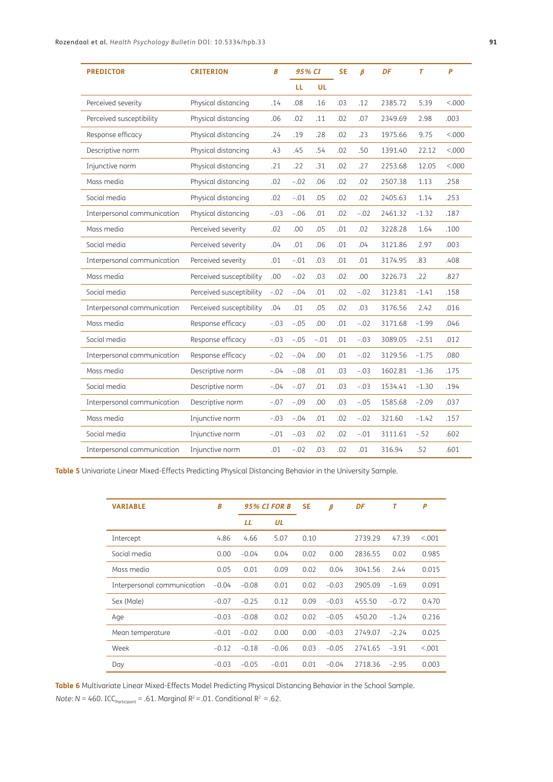| <b>PREDICTOR</b>            | <b>CRITERION</b>         | B      | 95% CI |           | <b>SE</b> | $\boldsymbol{\beta}$ | DF      | $\overline{T}$ | $\overline{P}$ |
|-----------------------------|--------------------------|--------|--------|-----------|-----------|----------------------|---------|----------------|----------------|
|                             |                          |        | LL     | <b>UL</b> |           |                      |         |                |                |
| Perceived severity          | Physical distancing      | .14    | .08    | .16       | .03       | .12                  | 2385.72 | 5.39           | < 0.000        |
| Perceived susceptibility    | Physical distancing      | .06    | .02    | .11       | .02       | .07                  | 2349.69 | 2.98           | .003           |
| Response efficacy           | Physical distancing      | .24    | .19    | .28       | .02       | .23                  | 1975.66 | 9.75           | < 0.000        |
| Descriptive norm            | Physical distancing      | .43    | .45    | .54       | .02       | .50                  | 1391.40 | 22.12          | < 0.000        |
| Injunctive norm             | Physical distancing      | .21    | .22    | .31       | .02       | .27                  | 2253.68 | 12.05          | < 0.000        |
| Mass media                  | Physical distancing      | .02    | $-.02$ | .06       | .02       | .02                  | 2507.38 | 1.13           | .258           |
| Social media                | Physical distancing      | .02    | $-.01$ | .05       | .02       | .02                  | 2405.63 | 1.14           | .253           |
| Interpersonal communication | Physical distancing      | $-.03$ | $-.06$ | .01       | .02       | $-.02$               | 2461.32 | $-1.32$        | .187           |
| Mass media                  | Perceived severity       | .02    | .00    | .05       | .01       | .02                  | 3228.28 | 1.64           | .100           |
| Social media                | Perceived severity       | .04    | .01    | .06       | .01       | .04                  | 3121.86 | 2.97           | .003           |
| Interpersonal communication | Perceived severity       | .01    | $-.01$ | .03       | .01       | .01                  | 3174.95 | .83            | .408           |
| Mass media                  | Perceived susceptibility | .00    | $-.02$ | .03       | .02       | .00                  | 3226.73 | .22            | .827           |
| Social media                | Perceived susceptibility | $-.02$ | $-.04$ | .01       | .02       | $-.02$               | 3123.81 | $-1.41$        | .158           |
| Interpersonal communication | Perceived susceptibility | .04    | .01    | .05       | .02       | .03                  | 3176.56 | 2.42           | .016           |
| Mass media                  | Response efficacy        | $-.03$ | $-.05$ | .00       | .01       | $-.02$               | 3171.68 | $-1.99$        | .046           |
| Social media                | Response efficacy        | $-.03$ | $-.05$ | $-.01$    | .01       | $-.03$               | 3089.05 | $-2.51$        | .012           |
| Interpersonal communication | Response efficacy        | $-.02$ | $-.04$ | .00       | .01       | $-.02$               | 3129.56 | $-1.75$        | .080           |
| Mass media                  | Descriptive norm         | $-.04$ | $-.08$ | .01       | .03       | $-.03$               | 1602.81 | $-1.36$        | .175           |
| Social media                | Descriptive norm         | $-.04$ | $-.07$ | .01       | .03       | $-.03$               | 1534.41 | $-1.30$        | .194           |
| Interpersonal communication | Descriptive norm         | $-.07$ | $-.09$ | .00       | .03       | $-.05$               | 1585.68 | $-2.09$        | .037           |
| Mass media                  | Injunctive norm          | $-.03$ | $-.04$ | .01       | .02       | $-.02$               | 321.60  | $-1.42$        | .157           |
| Social media                | Injunctive norm          | $-.01$ | $-.03$ | .02       | .02       | $-.01$               | 3111.61 | $-.52$         | .602           |
| Interpersonal communication | Injunctive norm          | .01    | $-.02$ | .03       | .02       | .01                  | 316.94  | .52            | .601           |

<span id="page-10-1"></span>**Table 5** Univariate Linear Mixed-Effects Predicting Physical Distancing Behavior in the University Sample.

| <b>VARIABLE</b>             | Β       |         | <b>95% CI FOR B</b> |      | β       | DF      | Т       | P       |
|-----------------------------|---------|---------|---------------------|------|---------|---------|---------|---------|
|                             |         | LL      | UL                  |      |         |         |         |         |
| Intercept                   | 4.86    | 4.66    | 5.07                | 0.10 |         | 2739.29 | 47.39   | < 0.01  |
| Social media                | 0.00    | $-0.04$ | 0.04                | 0.02 | 0.00    | 2836.55 | 0.02    | 0.985   |
| Mass media                  | 0.05    | 0.01    | 0.09                | 0.02 | 0.04    | 3041.56 | 2.44    | 0.015   |
| Interpersonal communication | $-0.04$ | $-0.08$ | 0.01                | 0.02 | $-0.03$ | 2905.09 | $-1.69$ | 0.091   |
| Sex (Male)                  | $-0.07$ | $-0.25$ | 0.12                | 0.09 | $-0.03$ | 455.50  | $-0.72$ | 0.470   |
| Age                         | $-0.03$ | $-0.08$ | 0.02                | 0.02 | $-0.05$ | 450.20  | $-1.24$ | 0.216   |
| Mean temperature            | $-0.01$ | $-0.02$ | 0.00                | 0.00 | $-0.03$ | 2749.07 | $-2.24$ | 0.025   |
| Week                        | $-0.12$ | $-0.18$ | $-0.06$             | 0.03 | $-0.05$ | 2741.65 | $-3.91$ | < 0.001 |
| Day                         | $-0.03$ | $-0.05$ | $-0.01$             | 0.01 | $-0.04$ | 2718.36 | $-2.95$ | 0.003   |

<span id="page-10-0"></span>**Table 6** Multivariate Linear Mixed-Effects Model Predicting Physical Distancing Behavior in the School Sample. *Note*:  $N = 460$ . ICC<sub>participant</sub> = .61. Marginal  $R^2 = .01$ . Conditional  $R^2 = .62$ .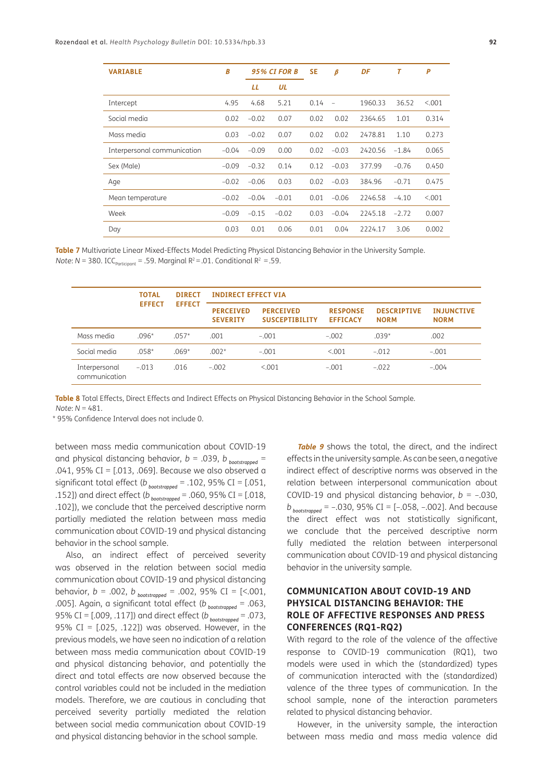| <b>VARIABLE</b>             | B       |         | <b>95% CI FOR B</b> |      | β              | DF      | $\overline{I}$ | P       |
|-----------------------------|---------|---------|---------------------|------|----------------|---------|----------------|---------|
|                             |         | LL      | UL                  |      |                |         |                |         |
| Intercept                   | 4.95    | 4.68    | 5.21                | 0.14 | $\overline{a}$ | 1960.33 | 36.52          | < 0.001 |
| Social media                | 0.02    | $-0.02$ | 0.07                | 0.02 | 0.02           | 2364.65 | 1.01           | 0.314   |
| Mass media                  | 0.03    | $-0.02$ | 0.07                | 0.02 | 0.02           | 2478.81 | 1.10           | 0.273   |
| Interpersonal communication | $-0.04$ | $-0.09$ | 0.00                | 0.02 | $-0.03$        | 2420.56 | $-1.84$        | 0.065   |
| Sex (Male)                  | $-0.09$ | $-0.32$ | 0.14                | 0.12 | $-0.03$        | 377.99  | $-0.76$        | 0.450   |
| Age                         | $-0.02$ | $-0.06$ | 0.03                | 0.02 | $-0.03$        | 384.96  | $-0.71$        | 0.475   |
| Mean temperature            | $-0.02$ | $-0.04$ | $-0.01$             | 0.01 | $-0.06$        | 2246.58 | $-4.10$        | < 0.001 |
| Week                        | $-0.09$ | $-0.15$ | $-0.02$             | 0.03 | $-0.04$        | 2245.18 | $-2.72$        | 0.007   |
| Day                         | 0.03    | 0.01    | 0.06                | 0.01 | 0.04           | 2224.17 | 3.06           | 0.002   |

<span id="page-11-0"></span>**Table 7** Multivariate Linear Mixed-Effects Model Predicting Physical Distancing Behavior in the University Sample. *Note*:  $N = 380$ . ICC<sub>Participant</sub> = .59. Marginal  $R^2 = .01$ . Conditional  $R^2 = .59$ .

|                                | <b>TOTAL</b>  | <b>DIRECT</b> | <b>INDIRECT EFFECT VIA</b>          |                                           |                                    |                                   |                                  |  |  |  |
|--------------------------------|---------------|---------------|-------------------------------------|-------------------------------------------|------------------------------------|-----------------------------------|----------------------------------|--|--|--|
|                                | <b>EFFECT</b> | <b>EFFECT</b> | <b>PERCEIVED</b><br><b>SEVERITY</b> | <b>PERCEIVED</b><br><b>SUSCEPTIBILITY</b> | <b>RESPONSE</b><br><b>EFFICACY</b> | <b>DESCRIPTIVE</b><br><b>NORM</b> | <b>INJUNCTIVE</b><br><b>NORM</b> |  |  |  |
| Mass media                     | $.096*$       | $.057*$       | .001                                | $-.001$                                   | $-.002$                            | $.039*$                           | .002                             |  |  |  |
| Social media                   | $.058*$       | $.069*$       | $.002*$                             | $-.001$                                   | < 0.001                            | $-.012$                           | $-.001$                          |  |  |  |
| Interpersonal<br>communication | $-.013$       | .016          | $-.002$                             | < 0.001                                   | $-.001$                            | $-.022$                           | $-.004$                          |  |  |  |

<span id="page-11-1"></span>**Table 8** Total Effects, Direct Effects and Indirect Effects on Physical Distancing Behavior in the School Sample.

*Note*: *N* = 481.

\* 95% Confidence Interval does not include 0.

between mass media communication about COVID-19 and physical distancing behavior,  $b = .039$ ,  $b_{\text{poststrapped}} =$ .041, 95% CI = [.013, .069]. Because we also observed a significant total effect (*b bootstrapped* = .102, 95% CI = [.051, .152]) and direct effect (*b bootstrapped* = .060, 95% CI = [.018, .102]), we conclude that the perceived descriptive norm partially mediated the relation between mass media communication about COVID-19 and physical distancing behavior in the school sample.

Also, an indirect effect of perceived severity was observed in the relation between social media communication about COVID-19 and physical distancing behavior, *b* = .002, *b bootstrapped* = .002, 95% CI = [<.001, .005]. Again, a significant total effect (*b bootstrapped* = .063, 95% CI = [.009, .117]) and direct effect (*b bootstrapped* = .073, 95% CI =  $[0.025, 0.122]$ ) was observed. However, in the previous models, we have seen no indication of a relation between mass media communication about COVID-19 and physical distancing behavior, and potentially the direct and total effects are now observed because the control variables could not be included in the mediation models. Therefore, we are cautious in concluding that perceived severity partially mediated the relation between social media communication about COVID-19 and physical distancing behavior in the school sample.

**[Table 9](#page-12-0)** shows the total, the direct, and the indirect effects in the university sample. As can be seen, a negative indirect effect of descriptive norms was observed in the relation between interpersonal communication about COVID-19 and physical distancing behavior,  $b = -.030$ ,  $b_{\text{poststrapped}} = -.030, 95\% \text{ CI} = [-.058, -.002].$  And because the direct effect was not statistically significant, we conclude that the perceived descriptive norm fully mediated the relation between interpersonal communication about COVID-19 and physical distancing behavior in the university sample.

## **COMMUNICATION ABOUT COVID-19 AND PHYSICAL DISTANCING BEHAVIOR: THE ROLE OF AFFECTIVE RESPONSES AND PRESS CONFERENCES (RQ1-RQ2)**

With regard to the role of the valence of the affective response to COVID-19 communication (RQ1), two models were used in which the (standardized) types of communication interacted with the (standardized) valence of the three types of communication. In the school sample, none of the interaction parameters related to physical distancing behavior.

However, in the university sample, the interaction between mass media and mass media valence did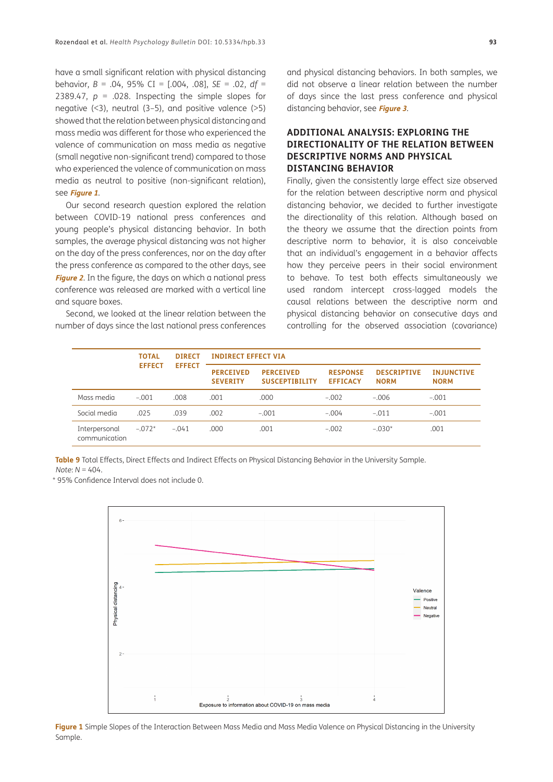have a small significant relation with physical distancing behavior, *B* = .04, 95% CI = [.004, .08], *SE* = .02, *df* = 2389.47,  $p = .028$ . Inspecting the simple slopes for negative  $(3)$ , neutral  $(3-5)$ , and positive valence  $(3)$ showed that the relation between physical distancing and mass media was different for those who experienced the valence of communication on mass media as negative (small negative non-significant trend) compared to those who experienced the valence of communication on mass media as neutral to positive (non-significant relation), see **[Figure 1](#page-12-1)**.

Our second research question explored the relation between COVID-19 national press conferences and young people's physical distancing behavior. In both samples, the average physical distancing was not higher on the day of the press conferences, nor on the day after the press conference as compared to the other days, see **[Figure 2](#page-13-0)**. In the figure, the days on which a national press conference was released are marked with a vertical line and square boxes.

Second, we looked at the linear relation between the number of days since the last national press conferences and physical distancing behaviors. In both samples, we did not observe a linear relation between the number of days since the last press conference and physical distancing behavior, see **[Figure 3](#page-13-1)**.

## **ADDITIONAL ANALYSIS: EXPLORING THE DIRECTIONALITY OF THE RELATION BETWEEN DESCRIPTIVE NORMS AND PHYSICAL DISTANCING BEHAVIOR**

Finally, given the consistently large effect size observed for the relation between descriptive norm and physical distancing behavior, we decided to further investigate the directionality of this relation. Although based on the theory we assume that the direction points from descriptive norm to behavior, it is also conceivable that an individual's engagement in a behavior affects how they perceive peers in their social environment to behave. To test both effects simultaneously we used random intercept cross-lagged models the causal relations between the descriptive norm and physical distancing behavior on consecutive days and controlling for the observed association (covariance)

|                                | <b>TOTAL</b>  | <b>DIRECT</b> | <b>INDIRECT EFFECT VIA</b>          |                                           |                                    |                                   |                                  |  |  |  |
|--------------------------------|---------------|---------------|-------------------------------------|-------------------------------------------|------------------------------------|-----------------------------------|----------------------------------|--|--|--|
|                                | <b>EFFECT</b> | <b>EFFECT</b> | <b>PERCEIVED</b><br><b>SEVERITY</b> | <b>PERCEIVED</b><br><b>SUSCEPTIBILITY</b> | <b>RESPONSE</b><br><b>EFFICACY</b> | <b>DESCRIPTIVE</b><br><b>NORM</b> | <b>INJUNCTIVE</b><br><b>NORM</b> |  |  |  |
| Mass media                     | $-.001$       | .008          | .001                                | .000                                      | $-.002$                            | $-.006$                           | $-.001$                          |  |  |  |
| Social media                   | .025          | .039          | .002                                | $-.001$                                   | $-.004$                            | $-.011$                           | $-.001$                          |  |  |  |
| Interpersonal<br>communication | $-.072*$      | $-.041$       | .000                                | .001                                      | $-.002$                            | $-.030*$                          | .001                             |  |  |  |

<span id="page-12-0"></span>**Table 9** Total Effects, Direct Effects and Indirect Effects on Physical Distancing Behavior in the University Sample. *Note*: *N* = 404.

\* 95% Confidence Interval does not include 0.



<span id="page-12-1"></span>**Figure 1** Simple Slopes of the Interaction Between Mass Media and Mass Media Valence on Physical Distancing in the University Sample.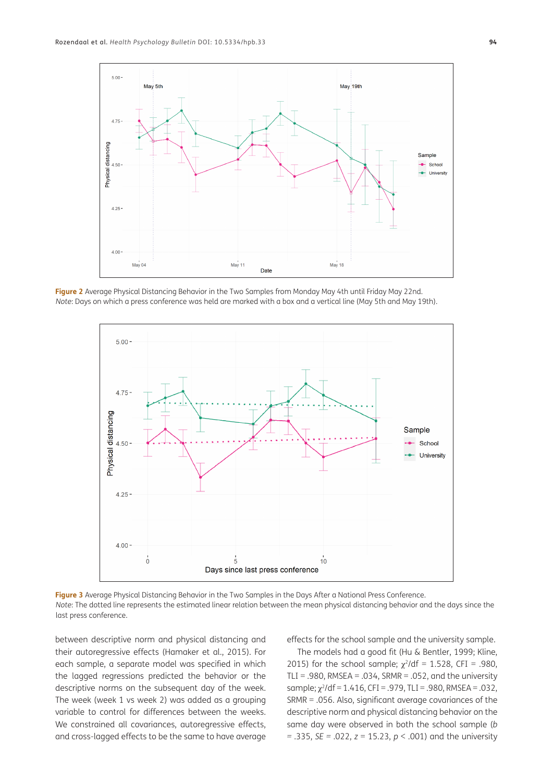

<span id="page-13-0"></span>**Figure 2** Average Physical Distancing Behavior in the Two Samples from Monday May 4th until Friday May 22nd. *Note*: Days on which a press conference was held are marked with a box and a vertical line (May 5th and May 19th).



<span id="page-13-1"></span>**Figure 3** Average Physical Distancing Behavior in the Two Samples in the Days After a National Press Conference. *Note*: The dotted line represents the estimated linear relation between the mean physical distancing behavior and the days since the last press conference.

between descriptive norm and physical distancing and their autoregressive effects (Hamaker et al., 2015). For each sample, a separate model was specified in which the lagged regressions predicted the behavior or the descriptive norms on the subsequent day of the week. The week (week 1 vs week 2) was added as a grouping variable to control for differences between the weeks. We constrained all covariances, autoregressive effects, and cross-lagged effects to be the same to have average effects for the school sample and the university sample.

The models had a good fit (Hu & Bentler, 1999; Kline, 2015) for the school sample;  $\chi^2$ /df = 1.528, CFI = .980, TLI = .980, RMSEA = .034, SRMR = .052, and the university sample:  $y^2$ /df = 1.416, CFI = .979, TLI = .980, RMSEA = .032, SRMR = .056. Also, significant average covariances of the descriptive norm and physical distancing behavior on the same day were observed in both the school sample (*b =* .335, *SE =* .022, *z* = 15.23, *p* < .001) and the university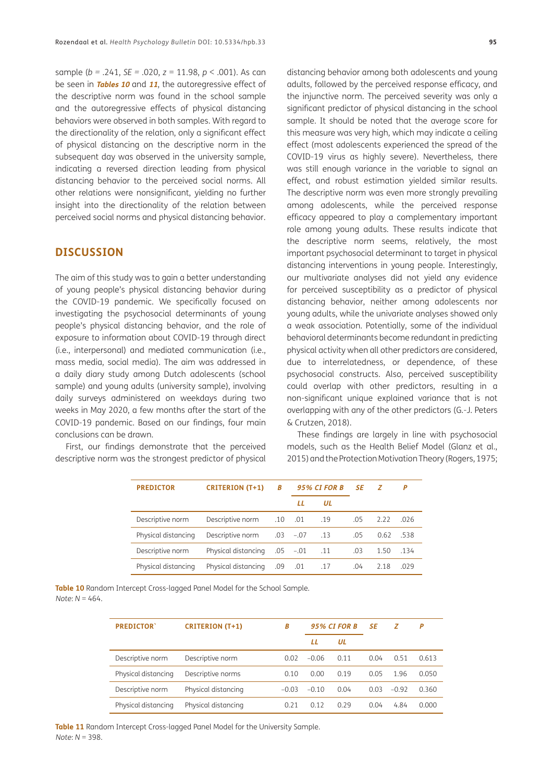sample (*b =* .241, *SE =* .020, *z* = 11.98, *p* < .001). As can be seen in **[Tables 10](#page-14-0)** and **[11](#page-14-1)**, the autoregressive effect of the descriptive norm was found in the school sample and the autoregressive effects of physical distancing behaviors were observed in both samples. With regard to the directionality of the relation, only a significant effect of physical distancing on the descriptive norm in the subsequent day was observed in the university sample, indicating a reversed direction leading from physical distancing behavior to the perceived social norms. All other relations were nonsignificant, yielding no further insight into the directionality of the relation between perceived social norms and physical distancing behavior.

#### **DISCUSSION**

The aim of this study was to gain a better understanding of young people's physical distancing behavior during the COVID-19 pandemic. We specifically focused on investigating the psychosocial determinants of young people's physical distancing behavior, and the role of exposure to information about COVID-19 through direct (i.e., interpersonal) and mediated communication (i.e., mass media, social media). The aim was addressed in a daily diary study among Dutch adolescents (school sample) and young adults (university sample), involving daily surveys administered on weekdays during two weeks in May 2020, a few months after the start of the COVID-19 pandemic. Based on our findings, four main conclusions can be drawn.

First, our findings demonstrate that the perceived descriptive norm was the strongest predictor of physical

distancing behavior among both adolescents and young adults, followed by the perceived response efficacy, and the injunctive norm. The perceived severity was only a significant predictor of physical distancing in the school sample. It should be noted that the average score for this measure was very high, which may indicate a ceiling effect (most adolescents experienced the spread of the COVID-19 virus as highly severe). Nevertheless, there was still enough variance in the variable to signal an effect, and robust estimation yielded similar results. The descriptive norm was even more strongly prevailing among adolescents, while the perceived response efficacy appeared to play a complementary important role among young adults. These results indicate that the descriptive norm seems, relatively, the most important psychosocial determinant to target in physical distancing interventions in young people. Interestingly, our multivariate analyses did not yield any evidence for perceived susceptibility as a predictor of physical distancing behavior, neither among adolescents nor young adults, while the univariate analyses showed only a weak association. Potentially, some of the individual behavioral determinants become redundant in predicting physical activity when all other predictors are considered, due to interrelatedness, or dependence, of these psychosocial constructs. Also, perceived susceptibility could overlap with other predictors, resulting in a non-significant unique explained variance that is not overlapping with any of the other predictors (G.-J. Peters & Crutzen, 2018).

These findings are largely in line with psychosocial models, such as the Health Belief Model (Glanz et al., 2015) and the Protection Motivation Theory (Rogers, 1975;

| <b>PREDICTOR</b>    | <b>CRITERION (T+1)</b> | B   | <b>95% CI FOR B</b> |     | SE  | -Z   | P    |
|---------------------|------------------------|-----|---------------------|-----|-----|------|------|
|                     |                        |     | Ħ                   | UL  |     |      |      |
| Descriptive norm    | Descriptive norm       |     | .10 .01             | .19 | .05 | 2.22 | .026 |
| Physical distancing | Descriptive norm       |     | .03 –.07            | .13 | .05 | 0.62 | -538 |
| Descriptive norm    | Physical distancing    |     | .05 -.01            | .11 | .03 | 1.50 | .134 |
| Physical distancing | Physical distancing    | .09 | .01                 | .17 | .04 | 2.18 | .029 |

<span id="page-14-0"></span>**Table 10** Random Intercept Cross-lagged Panel Model for the School Sample. *Note*: *N* = 464.

| <b>PREDICTOR</b>    | <b>CRITERION (T+1)</b> | В       | <b>95% CI FOR B</b> |      | SE   | z       | P     |
|---------------------|------------------------|---------|---------------------|------|------|---------|-------|
|                     |                        |         | LL                  | UL   |      |         |       |
| Descriptive norm    | Descriptive norm       | 0.02    | $-0.06$             | 0.11 | 0.04 | 0.51    | 0.613 |
| Physical distancing | Descriptive norms      | 0.10    | 0.00                | 0.19 | 0.05 | 1.96    | 0.050 |
| Descriptive norm    | Physical distancing    | $-0.03$ | $-0.10$             | 0.04 | 0.03 | $-0.92$ | 0.360 |
| Physical distancing | Physical distancing    | 0.21    | 0.12                | 0.29 | 0.04 | 4.84    | 0.000 |

<span id="page-14-1"></span>**Table 11** Random Intercept Cross-lagged Panel Model for the University Sample. *Note*: *N* = 398.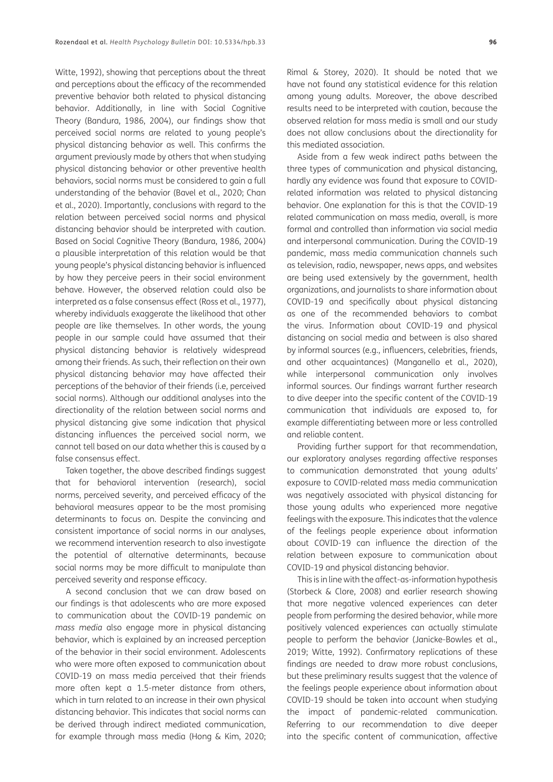Witte, 1992), showing that perceptions about the threat and perceptions about the efficacy of the recommended preventive behavior both related to physical distancing behavior. Additionally, in line with Social Cognitive Theory (Bandura, 1986, 2004), our findings show that perceived social norms are related to young people's physical distancing behavior as well. This confirms the argument previously made by others that when studying physical distancing behavior or other preventive health behaviors, social norms must be considered to gain a full understanding of the behavior (Bavel et al., 2020; Chan et al., 2020). Importantly, conclusions with regard to the relation between perceived social norms and physical distancing behavior should be interpreted with caution. Based on Social Cognitive Theory (Bandura, 1986, 2004) a plausible interpretation of this relation would be that young people's physical distancing behavior is influenced by how they perceive peers in their social environment behave. However, the observed relation could also be interpreted as a false consensus effect (Ross et al., 1977), whereby individuals exaggerate the likelihood that other people are like themselves. In other words, the young people in our sample could have assumed that their physical distancing behavior is relatively widespread among their friends. As such, their reflection on their own physical distancing behavior may have affected their perceptions of the behavior of their friends (i.e, perceived social norms). Although our additional analyses into the directionality of the relation between social norms and physical distancing give some indication that physical distancing influences the perceived social norm, we cannot tell based on our data whether this is caused by a false consensus effect.

Taken together, the above described findings suggest that for behavioral intervention (research), social norms, perceived severity, and perceived efficacy of the behavioral measures appear to be the most promising determinants to focus on. Despite the convincing and consistent importance of social norms in our analyses, we recommend intervention research to also investigate the potential of alternative determinants, because social norms may be more difficult to manipulate than perceived severity and response efficacy.

A second conclusion that we can draw based on our findings is that adolescents who are more exposed to communication about the COVID-19 pandemic on *mass media* also engage more in physical distancing behavior, which is explained by an increased perception of the behavior in their social environment. Adolescents who were more often exposed to communication about COVID-19 on mass media perceived that their friends more often kept a 1.5-meter distance from others, which in turn related to an increase in their own physical distancing behavior. This indicates that social norms can be derived through indirect mediated communication, for example through mass media (Hong & Kim, 2020;

Rimal & Storey, 2020). It should be noted that we have not found any statistical evidence for this relation among young adults. Moreover, the above described results need to be interpreted with caution, because the observed relation for mass media is small and our study does not allow conclusions about the directionality for this mediated association.

Aside from a few weak indirect paths between the three types of communication and physical distancing, hardly any evidence was found that exposure to COVIDrelated information was related to physical distancing behavior. One explanation for this is that the COVID-19 related communication on mass media, overall, is more formal and controlled than information via social media and interpersonal communication. During the COVID-19 pandemic, mass media communication channels such as television, radio, newspaper, news apps, and websites are being used extensively by the government, health organizations, and journalists to share information about COVID-19 and specifically about physical distancing as one of the recommended behaviors to combat the virus. Information about COVID-19 and physical distancing on social media and between is also shared by informal sources (e.g., influencers, celebrities, friends, and other acquaintances) (Manganello et al., 2020), while interpersonal communication only involves informal sources. Our findings warrant further research to dive deeper into the specific content of the COVID-19 communication that individuals are exposed to, for example differentiating between more or less controlled and reliable content.

Providing further support for that recommendation, our exploratory analyses regarding affective responses to communication demonstrated that young adults' exposure to COVID-related mass media communication was negatively associated with physical distancing for those young adults who experienced more negative feelings with the exposure. This indicates that the valence of the feelings people experience about information about COVID-19 can influence the direction of the relation between exposure to communication about COVID-19 and physical distancing behavior.

This is in line with the affect-as-information hypothesis (Storbeck & Clore, 2008) and earlier research showing that more negative valenced experiences can deter people from performing the desired behavior, while more positively valenced experiences can actually stimulate people to perform the behavior (Janicke-Bowles et al., 2019; Witte, 1992). Confirmatory replications of these findings are needed to draw more robust conclusions, but these preliminary results suggest that the valence of the feelings people experience about information about COVID-19 should be taken into account when studying the impact of pandemic-related communication. Referring to our recommendation to dive deeper into the specific content of communication, affective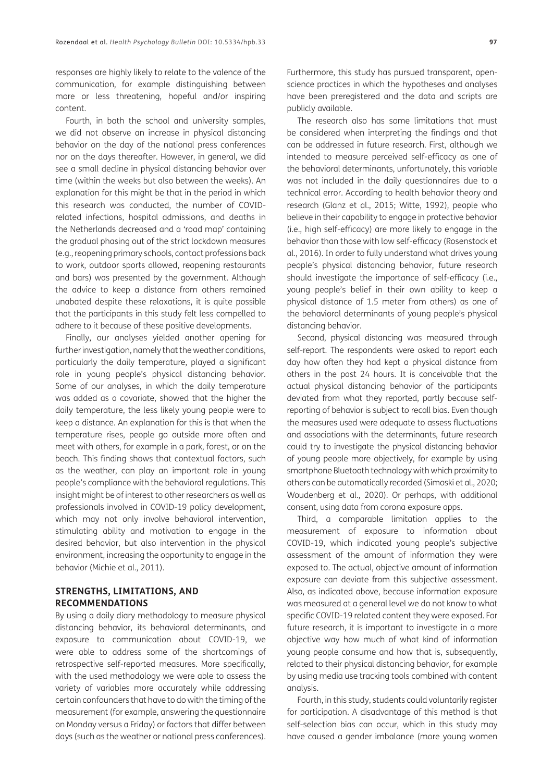responses are highly likely to relate to the valence of the communication, for example distinguishing between more or less threatening, hopeful and/or inspiring content.

Fourth, in both the school and university samples, we did not observe an increase in physical distancing behavior on the day of the national press conferences nor on the days thereafter. However, in general, we did see a small decline in physical distancing behavior over time (within the weeks but also between the weeks). An explanation for this might be that in the period in which this research was conducted, the number of COVIDrelated infections, hospital admissions, and deaths in the Netherlands decreased and a 'road map' containing the gradual phasing out of the strict lockdown measures (e.g., reopening primary schools, contact professions back to work, outdoor sports allowed, reopening restaurants and bars) was presented by the government. Although the advice to keep a distance from others remained unabated despite these relaxations, it is quite possible that the participants in this study felt less compelled to adhere to it because of these positive developments.

Finally, our analyses yielded another opening for further investigation, namely that the weather conditions, particularly the daily temperature, played a significant role in young people's physical distancing behavior. Some of our analyses, in which the daily temperature was added as a covariate, showed that the higher the daily temperature, the less likely young people were to keep a distance. An explanation for this is that when the temperature rises, people go outside more often and meet with others, for example in a park, forest, or on the beach. This finding shows that contextual factors, such as the weather, can play an important role in young people's compliance with the behavioral regulations. This insight might be of interest to other researchers as well as professionals involved in COVID-19 policy development, which may not only involve behavioral intervention, stimulating ability and motivation to engage in the desired behavior, but also intervention in the physical environment, increasing the opportunity to engage in the behavior (Michie et al., 2011).

#### **STRENGTHS, LIMITATIONS, AND RECOMMENDATIONS**

By using a daily diary methodology to measure physical distancing behavior, its behavioral determinants, and exposure to communication about COVID-19, we were able to address some of the shortcomings of retrospective self-reported measures. More specifically, with the used methodology we were able to assess the variety of variables more accurately while addressing certain confounders that have to do with the timing of the measurement (for example, answering the questionnaire on Monday versus a Friday) or factors that differ between days (such as the weather or national press conferences). Furthermore, this study has pursued transparent, openscience practices in which the hypotheses and analyses have been preregistered and the data and scripts are publicly available.

The research also has some limitations that must be considered when interpreting the findings and that can be addressed in future research. First, although we intended to measure perceived self-efficacy as one of the behavioral determinants, unfortunately, this variable was not included in the daily questionnaires due to a technical error. According to health behavior theory and research (Glanz et al., 2015; Witte, 1992), people who believe in their capability to engage in protective behavior (i.e., high self-efficacy) are more likely to engage in the behavior than those with low self-efficacy (Rosenstock et al., 2016). In order to fully understand what drives young people's physical distancing behavior, future research should investigate the importance of self-efficacy (i.e., young people's belief in their own ability to keep a physical distance of 1.5 meter from others) as one of the behavioral determinants of young people's physical distancing behavior.

Second, physical distancing was measured through self-report. The respondents were asked to report each day how often they had kept a physical distance from others in the past 24 hours. It is conceivable that the actual physical distancing behavior of the participants deviated from what they reported, partly because selfreporting of behavior is subject to recall bias. Even though the measures used were adequate to assess fluctuations and associations with the determinants, future research could try to investigate the physical distancing behavior of young people more objectively, for example by using smartphone Bluetooth technology with which proximity to others can be automatically recorded (Simoski et al., 2020; Woudenberg et al., 2020). Or perhaps, with additional consent, using data from corona exposure apps.

Third, a comparable limitation applies to the measurement of exposure to information about COVID-19, which indicated young people's subjective assessment of the amount of information they were exposed to. The actual, objective amount of information exposure can deviate from this subjective assessment. Also, as indicated above, because information exposure was measured at a general level we do not know to what specific COVID-19 related content they were exposed. For future research, it is important to investigate in a more objective way how much of what kind of information young people consume and how that is, subsequently, related to their physical distancing behavior, for example by using media use tracking tools combined with content analysis.

Fourth, in this study, students could voluntarily register for participation. A disadvantage of this method is that self-selection bias can occur, which in this study may have caused a gender imbalance (more young women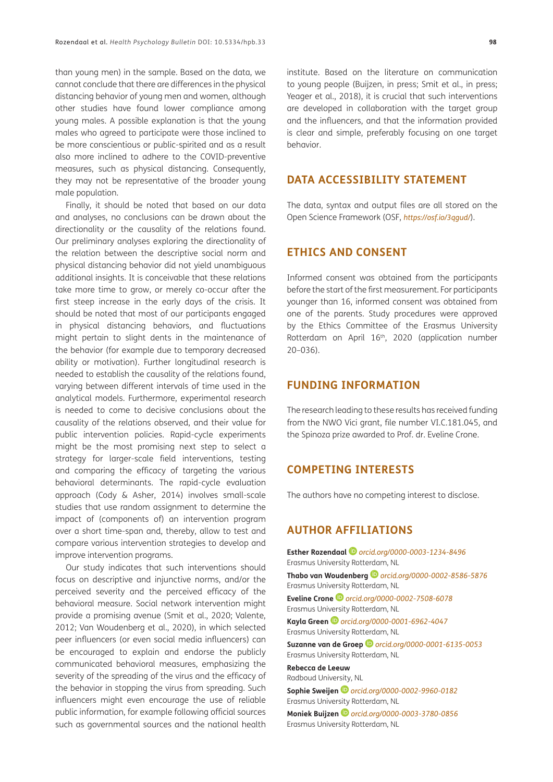than young men) in the sample. Based on the data, we cannot conclude that there are differences in the physical distancing behavior of young men and women, although other studies have found lower compliance among young males. A possible explanation is that the young males who agreed to participate were those inclined to be more conscientious or public-spirited and as a result also more inclined to adhere to the COVID-preventive measures, such as physical distancing. Consequently, they may not be representative of the broader young male population.

Finally, it should be noted that based on our data and analyses, no conclusions can be drawn about the directionality or the causality of the relations found. Our preliminary analyses exploring the directionality of the relation between the descriptive social norm and physical distancing behavior did not yield unambiguous additional insights. It is conceivable that these relations take more time to grow, or merely co-occur after the first steep increase in the early days of the crisis. It should be noted that most of our participants engaged in physical distancing behaviors, and fluctuations might pertain to slight dents in the maintenance of the behavior (for example due to temporary decreased ability or motivation). Further longitudinal research is needed to establish the causality of the relations found, varying between different intervals of time used in the analytical models. Furthermore, experimental research is needed to come to decisive conclusions about the causality of the relations observed, and their value for public intervention policies. Rapid-cycle experiments might be the most promising next step to select a strategy for larger-scale field interventions, testing and comparing the efficacy of targeting the various behavioral determinants. The rapid-cycle evaluation approach (Cody & Asher, 2014) involves small-scale studies that use random assignment to determine the impact of (components of) an intervention program over a short time-span and, thereby, allow to test and compare various intervention strategies to develop and improve intervention programs.

Our study indicates that such interventions should focus on descriptive and injunctive norms, and/or the perceived severity and the perceived efficacy of the behavioral measure. Social network intervention might provide a promising avenue (Smit et al., 2020; Valente, 2012; Van Woudenberg et al., 2020), in which selected peer influencers (or even social media influencers) can be encouraged to explain and endorse the publicly communicated behavioral measures, emphasizing the severity of the spreading of the virus and the efficacy of the behavior in stopping the virus from spreading. Such influencers might even encourage the use of reliable public information, for example following official sources such as governmental sources and the national health institute. Based on the literature on communication to young people (Buijzen, in press; Smit et al., in press; Yeager et al., 2018), it is crucial that such interventions are developed in collaboration with the target group and the influencers, and that the information provided is clear and simple, preferably focusing on one target behavior.

## **DATA ACCESSIBILITY STATEMENT**

The data, syntax and output files are all stored on the Open Science Framework (OSF, *<https://osf.io/3qgud/>*).

## **ETHICS AND CONSENT**

Informed consent was obtained from the participants before the start of the first measurement. For participants younger than 16, informed consent was obtained from one of the parents. Study procedures were approved by the Ethics Committee of the Erasmus University Rotterdam on April 16<sup>th</sup>, 2020 (application number 20–036).

## **FUNDING INFORMATION**

The research leading to these results has received funding from the NWO Vici grant, file number VI.C.181.045, and the Spinoza prize awarded to Prof. dr. Eveline Crone.

## **COMPETING INTERESTS**

The authors have no competing interest to disclose.

## <span id="page-17-0"></span>**AUTHOR AFFILIATIONS**

**Esther Rozendaal** *[orcid.org/0000-0003-1234-8496](https://orcid.org/0000-0003-1234-8496)* Erasmus University Rotterdam, NL

**Thabo van Woudenberg** *[orcid.org/0000-0002-8586-5876](https://orcid.org/0000-0002-8586-5876)* Erasmus University Rotterdam, NL

**Eveline Crone***[orcid.org/0000-0002-7508-6078](https://orcid.org/0000-0002-7508-6078)* Erasmus University Rotterdam, NL

**Kayla Green** *[orcid.org/0000-0001-6962-4047](https://orcid.org/0000-0001-6962-4047)* Erasmus University Rotterdam, NL

**Suzanne van de Groep***[orcid.org/0000-0001-6135-0053](https://orcid.org/0000-0001-6135-0053)* Erasmus University Rotterdam, NL

#### **Rebecca de Leeuw** Radboud University, NL

**Sophie Sweijen** *[orcid.org/0000-0002-9960-0182](https://orcid.org/0000-0002-9960-0182)* Erasmus University Rotterdam, NL

**Moniek Buijzen** *[orcid.org/0000-0003-3780-0856](https://orcid.org/0000-0003-3780-0856)* Erasmus University Rotterdam, NL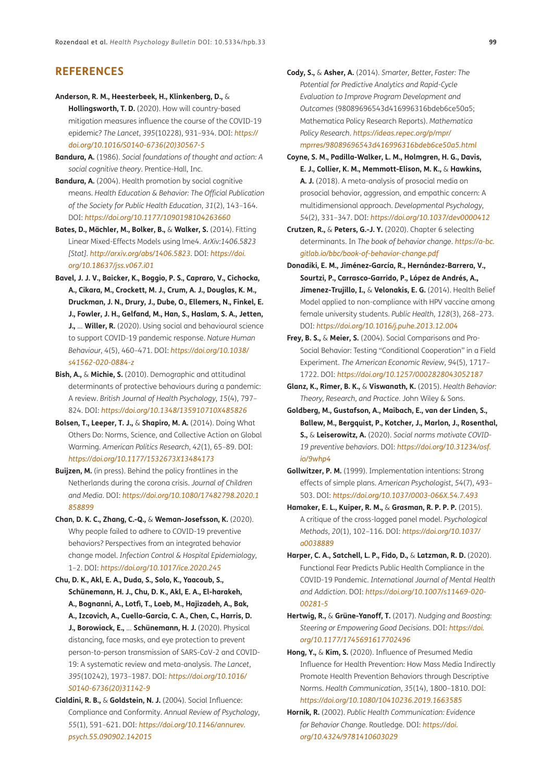## **REFERENCES**

**Anderson, R. M., Heesterbeek, H., Klinkenberg, D.,** &

**Hollingsworth, T. D.** (2020). How will country-based mitigation measures influence the course of the COVID-19 epidemic? *The Lancet*, *395*(10228), 931–934. DOI: *[https://](https://doi.org/10.1016/S0140-6736(20)30567-5) [doi.org/10.1016/S0140-6736\(20\)30567-5](https://doi.org/10.1016/S0140-6736(20)30567-5)*

- **Bandura, A.** (1986). *Social foundations of thought and action: A social cognitive theory*. Prentice-Hall, Inc.
- **Bandura, A.** (2004). Health promotion by social cognitive means. *Health Education & Behavior: The Official Publication of the Society for Public Health Education*, *31*(2), 143–164. DOI: *<https://doi.org/10.1177/1090198104263660>*
- **Bates, D., Mächler, M., Bolker, B.,** & **Walker, S.** (2014). Fitting Linear Mixed-Effects Models using lme4. *ArXiv:1406.5823 [Stat]*. *<http://arxiv.org/abs/1406.5823>*. DOI: *[https://doi.](https://doi.org/10.18637/jss.v067.i01) [org/10.18637/jss.v067.i01](https://doi.org/10.18637/jss.v067.i01)*
- **Bavel, J. J. V., Baicker, K., Boggio, P. S., Capraro, V., Cichocka, A., Cikara, M., Crockett, M. J., Crum, A. J., Douglas, K. M., Druckman, J. N., Drury, J., Dube, O., Ellemers, N., Finkel, E. J., Fowler, J. H., Gelfand, M., Han, S., Haslam, S. A., Jetten, J.,** … **Willer, R.** (2020). Using social and behavioural science to support COVID-19 pandemic response. *Nature Human Behaviour*, *4*(5), 460–471. DOI: *[https://doi.org/10.1038/](https://doi.org/10.1038/s41562-020-0884-z) [s41562-020-0884-z](https://doi.org/10.1038/s41562-020-0884-z)*
- **Bish, A.,** & **Michie, S.** (2010). Demographic and attitudinal determinants of protective behaviours during a pandemic: A review. *British Journal of Health Psychology*, *15*(4), 797– 824. DOI: *<https://doi.org/10.1348/135910710X485826>*
- **Bolsen, T., Leeper, T. J.,** & **Shapiro, M. A.** (2014). Doing What Others Do: Norms, Science, and Collective Action on Global Warming. *American Politics Research*, *42*(1), 65–89. DOI: *<https://doi.org/10.1177/1532673X13484173>*
- **Buijzen, M.** (in press). Behind the policy frontlines in the Netherlands during the corona crisis. *Journal of Children and Media*. DOI: *[https://doi.org/10.1080/17482798.2020.1](https://doi.org/10.1080/17482798.2020.1858899) [858899](https://doi.org/10.1080/17482798.2020.1858899)*
- **Chan, D. K. C., Zhang, C.-Q.,** & **Weman-Josefsson, K.** (2020). Why people failed to adhere to COVID-19 preventive behaviors? Perspectives from an integrated behavior change model. *Infection Control & Hospital Epidemiology*, 1–2. DOI: *<https://doi.org/10.1017/ice.2020.245>*
- **Chu, D. K., Akl, E. A., Duda, S., Solo, K., Yaacoub, S., Schünemann, H. J., Chu, D. K., Akl, E. A., El-harakeh, A., Bognanni, A., Lotfi, T., Loeb, M., Hajizadeh, A., Bak, A., Izcovich, A., Cuello-Garcia, C. A., Chen, C., Harris, D. J., Borowiack, E.,** … **Schünemann, H. J.** (2020). Physical distancing, face masks, and eye protection to prevent person-to-person transmission of SARS-CoV-2 and COVID-19: A systematic review and meta-analysis. *The Lancet*, *395*(10242), 1973–1987. DOI: *[https://doi.org/10.1016/](https://doi.org/10.1016/S0140-6736(20)31142-9) [S0140-6736\(20\)31142-9](https://doi.org/10.1016/S0140-6736(20)31142-9)*
- **Cialdini, R. B.,** & **Goldstein, N. J.** (2004). Social Influence: Compliance and Conformity. *Annual Review of Psychology*, *55*(1), 591–621. DOI: *[https://doi.org/10.1146/annurev.](https://doi.org/10.1146/annurev.psych.55.090902.142015) [psych.55.090902.142015](https://doi.org/10.1146/annurev.psych.55.090902.142015)*
- **Cody, S.,** & **Asher, A.** (2014). *Smarter, Better, Faster: The Potential for Predictive Analytics and Rapid-Cycle Evaluation to Improve Program Development and Outcomes* (98089696543d416996316bdeb6ce50a5; Mathematica Policy Research Reports). *Mathematica Policy Research*. *[https://ideas.repec.org/p/mpr/](https://ideas.repec.org/p/mpr/mprres/98089696543d416996316bdeb6ce50a5.html) [mprres/98089696543d416996316bdeb6ce50a5.html](https://ideas.repec.org/p/mpr/mprres/98089696543d416996316bdeb6ce50a5.html)*
- **Coyne, S. M., Padilla-Walker, L. M., Holmgren, H. G., Davis, E. J., Collier, K. M., Memmott-Elison, M. K.,** & **Hawkins, A. J.** (2018). A meta-analysis of prosocial media on prosocial behavior, aggression, and empathic concern: A multidimensional approach. *Developmental Psychology*, *54*(2), 331–347. DOI: *<https://doi.org/10.1037/dev0000412>*
- **Crutzen, R.,** & **Peters, G.-J. Y.** (2020). Chapter 6 selecting determinants. In *The book of behavior change*. *[https://a-bc.](https://a-bc.gitlab.io/bbc/book-of-behavior-change.pdf) [gitlab.io/bbc/book-of-behavior-change.pdf](https://a-bc.gitlab.io/bbc/book-of-behavior-change.pdf)*
- **Donadiki, E. M., Jiménez-García, R., Hernández-Barrera, V., Sourtzi, P., Carrasco-Garrido, P., López de Andrés, A., Jimenez-Trujillo, I.,** & **Velonakis, E. G.** (2014). Health Belief Model applied to non-compliance with HPV vaccine among female university students. *Public Health*, *128*(3), 268–273. DOI: *<https://doi.org/10.1016/j.puhe.2013.12.004>*
- **Frey, B. S.,** & **Meier, S.** (2004). Social Comparisons and Pro-Social Behavior: Testing "Conditional Cooperation" in a Field Experiment. *The American Economic Review*, *94*(5), 1717– 1722. DOI: *<https://doi.org/10.1257/0002828043052187>*
- **Glanz, K., Rimer, B. K.,** & **Viswanath, K.** (2015). *Health Behavior: Theory, Research, and Practice*. John Wiley & Sons.
- **Goldberg, M., Gustafson, A., Maibach, E., van der Linden, S., Ballew, M., Bergquist, P., Kotcher, J., Marlon, J., Rosenthal, S.,** & **Leiserowitz, A.** (2020). *Social norms motivate COVID-19 preventive behaviors*. DOI: *[https://doi.org/10.31234/osf.](https://doi.org/10.31234/osf.io/9whp4) [io/9whp4](https://doi.org/10.31234/osf.io/9whp4)*
- **Gollwitzer, P. M.** (1999). Implementation intentions: Strong effects of simple plans. *American Psychologist*, *54*(7), 493– 503. DOI: *<https://doi.org/10.1037/0003-066X.54.7.493>*
- **Hamaker, E. L., Kuiper, R. M.,** & **Grasman, R. P. P. P.** (2015). A critique of the cross-lagged panel model. *Psychological Methods*, *20*(1), 102–116. DOI: *[https://doi.org/10.1037/](https://doi.org/10.1037/a0038889) [a0038889](https://doi.org/10.1037/a0038889)*
- **Harper, C. A., Satchell, L. P., Fido, D.,** & **Latzman, R. D.** (2020). Functional Fear Predicts Public Health Compliance in the COVID-19 Pandemic. *International Journal of Mental Health and Addiction*. DOI: *[https://doi.org/10.1007/s11469-020-](https://doi.org/10.1007/s11469-020-00281-5) [00281-5](https://doi.org/10.1007/s11469-020-00281-5)*
- **Hertwig, R.,** & **Grüne-Yanoff, T.** (2017). *Nudging and Boosting: Steering or Empowering Good Decisions*. DOI: *[https://doi.](https://doi.org/10.1177/1745691617702496) [org/10.1177/1745691617702496](https://doi.org/10.1177/1745691617702496)*
- **Hong, Y.,** & **Kim, S.** (2020). Influence of Presumed Media Influence for Health Prevention: How Mass Media Indirectly Promote Health Prevention Behaviors through Descriptive Norms. *Health Communication*, *35*(14), 1800–1810. DOI: *<https://doi.org/10.1080/10410236.2019.1663585>*
- **Hornik, R.** (2002). *Public Health Communication: Evidence for Behavior Change*. Routledge. DOI: *[https://doi.](https://doi.org/10.4324/9781410603029) [org/10.4324/9781410603029](https://doi.org/10.4324/9781410603029)*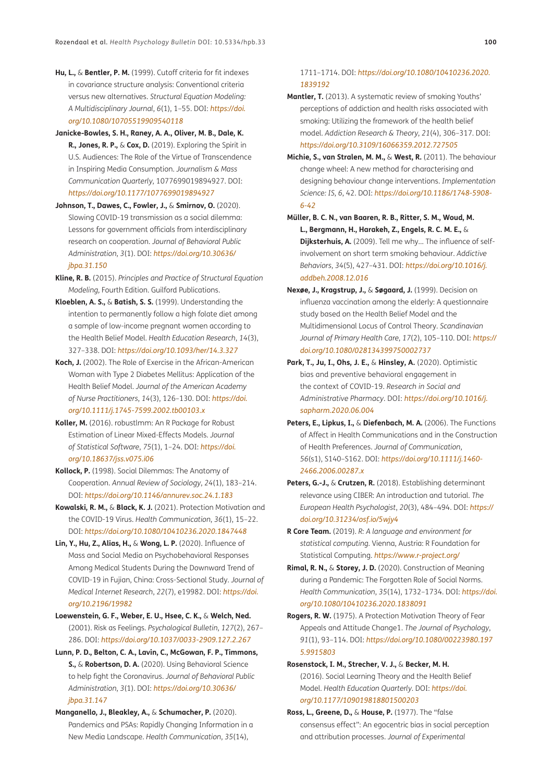- **Hu, L.,** & **Bentler, P. M.** (1999). Cutoff criteria for fit indexes in covariance structure analysis: Conventional criteria versus new alternatives. *Structural Equation Modeling: A Multidisciplinary Journal*, *6*(1), 1–55. DOI: *[https://doi.](https://doi.org/10.1080/10705519909540118) [org/10.1080/10705519909540118](https://doi.org/10.1080/10705519909540118)*
- **Janicke-Bowles, S. H., Raney, A. A., Oliver, M. B., Dale, K. R., Jones, R. P.,** & **Cox, D.** (2019). Exploring the Spirit in U.S. Audiences: The Role of the Virtue of Transcendence in Inspiring Media Consumption. *Journalism & Mass Communication Quarterly*, 1077699019894927. DOI: *<https://doi.org/10.1177/1077699019894927>*
- **Johnson, T., Dawes, C., Fowler, J.,** & **Smirnov, O.** (2020). Slowing COVID-19 transmission as a social dilemma: Lessons for government officials from interdisciplinary research on cooperation. *Journal of Behavioral Public Administration*, *3*(1). DOI: *[https://doi.org/10.30636/](https://doi.org/10.30636/jbpa.31.150) [jbpa.31.150](https://doi.org/10.30636/jbpa.31.150)*
- **Kline, R. B.** (2015). *Principles and Practice of Structural Equation Modeling,* Fourth Edition. Guilford Publications.
- **Kloeblen, A. S.,** & **Batish, S. S.** (1999). Understanding the intention to permanently follow a high folate diet among a sample of low-income pregnant women according to the Health Belief Model. *Health Education Research*, *14*(3), 327–338. DOI: *<https://doi.org/10.1093/her/14.3.327>*
- **Koch, J.** (2002). The Role of Exercise in the African-American Woman with Type 2 Diabetes Mellitus: Application of the Health Belief Model. *Journal of the American Academy of Nurse Practitioners*, *14*(3), 126–130. DOI: *[https://doi.](https://doi.org/10.1111/j.1745-7599.2002.tb00103.x) [org/10.1111/j.1745-7599.2002.tb00103.x](https://doi.org/10.1111/j.1745-7599.2002.tb00103.x)*
- **Koller, M.** (2016). robustlmm: An R Package for Robust Estimation of Linear Mixed-Effects Models. *Journal of Statistical Software*, *75*(1), 1–24. DOI: *[https://doi.](https://doi.org/10.18637/jss.v075.i06) [org/10.18637/jss.v075.i06](https://doi.org/10.18637/jss.v075.i06)*
- **Kollock, P.** (1998). Social Dilemmas: The Anatomy of Cooperation. *Annual Review of Sociology*, *24*(1), 183–214. DOI: *<https://doi.org/10.1146/annurev.soc.24.1.183>*
- **Kowalski, R. M.,** & **Black, K. J.** (2021). Protection Motivation and the COVID-19 Virus. *Health Communication*, *36*(1), 15–22. DOI: *<https://doi.org/10.1080/10410236.2020.1847448>*
- **Lin, Y., Hu, Z., Alias, H.,** & **Wong, L. P.** (2020). Influence of Mass and Social Media on Psychobehavioral Responses Among Medical Students During the Downward Trend of COVID-19 in Fujian, China: Cross-Sectional Study. *Journal of Medical Internet Research*, *22*(7), e19982. DOI: *[https://doi.](https://doi.org/10.2196/19982) [org/10.2196/19982](https://doi.org/10.2196/19982)*
- **Loewenstein, G. F., Weber, E. U., Hsee, C. K.,** & **Welch, Ned.** (2001). Risk as Feelings. *Psychological Bulletin*, *127*(2), 267– 286. DOI: *<https://doi.org/10.1037/0033-2909.127.2.267>*
- **Lunn, P. D., Belton, C. A., Lavin, C., McGowan, F. P., Timmons, S.,** & **Robertson, D. A.** (2020). Using Behavioral Science to help fight the Coronavirus. *Journal of Behavioral Public Administration*, *3*(1). DOI: *[https://doi.org/10.30636/](https://doi.org/10.30636/jbpa.31.147) [jbpa.31.147](https://doi.org/10.30636/jbpa.31.147)*
- **Manganello, J., Bleakley, A.,** & **Schumacher, P.** (2020). Pandemics and PSAs: Rapidly Changing Information in a New Media Landscape. *Health Communication*, *35*(14),

1711–1714. DOI: *[https://doi.org/10.1080/10410236.2020.](https://doi.org/10.1080/10410236.2020.1839192) [1839192](https://doi.org/10.1080/10410236.2020.1839192)*

- **Mantler, T.** (2013). A systematic review of smoking Youths' perceptions of addiction and health risks associated with smoking: Utilizing the framework of the health belief model. *Addiction Research & Theory*, *21*(4), 306–317. DOI: *<https://doi.org/10.3109/16066359.2012.727505>*
- **Michie, S., van Stralen, M. M.,** & **West, R.** (2011). The behaviour change wheel: A new method for characterising and designing behaviour change interventions. *Implementation Science: IS*, *6*, 42. DOI: *[https://doi.org/10.1186/1748-5908-](https://doi.org/10.1186/1748-5908-6-42) [6-42](https://doi.org/10.1186/1748-5908-6-42)*
- **Müller, B. C. N., van Baaren, R. B., Ritter, S. M., Woud, M. L., Bergmann, H., Harakeh, Z., Engels, R. C. M. E.,** & **Dijksterhuis, A.** (2009). Tell me why... The influence of selfinvolvement on short term smoking behaviour. *Addictive Behaviors*, *34*(5), 427–431. DOI: *[https://doi.org/10.1016/j.](https://doi.org/10.1016/j.addbeh.2008.12.016) [addbeh.2008.12.016](https://doi.org/10.1016/j.addbeh.2008.12.016)*
- **Nexøe, J., Kragstrup, J.,** & **Søgaard, J.** (1999). Decision on influenza vaccination among the elderly: A questionnaire study based on the Health Belief Model and the Multidimensional Locus of Control Theory. *Scandinavian Journal of Primary Health Care*, *17*(2), 105–110. DOI: *[https://](https://doi.org/10.1080/028134399750002737) [doi.org/10.1080/028134399750002737](https://doi.org/10.1080/028134399750002737)*
- **Park, T., Ju, I., Ohs, J. E.,** & **Hinsley, A.** (2020). Optimistic bias and preventive behavioral engagement in the context of COVID-19. *Research in Social and Administrative Pharmacy*. DOI: *[https://doi.org/10.1016/j.](https://doi.org/10.1016/j.sapharm.2020.06.004) [sapharm.2020.06.004](https://doi.org/10.1016/j.sapharm.2020.06.004)*
- **Peters, E., Lipkus, I.,** & **Diefenbach, M. A.** (2006). The Functions of Affect in Health Communications and in the Construction of Health Preferences. *Journal of Communication*, *56*(s1), S140–S162. DOI: *[https://doi.org/10.1111/j.1460-](https://doi.org/10.1111/j.1460-2466.2006.00287.x) [2466.2006.00287.x](https://doi.org/10.1111/j.1460-2466.2006.00287.x)*
- **Peters, G.-J.,** & **Crutzen, R.** (2018). Establishing determinant relevance using CIBER: An introduction and tutorial. *The European Health Psychologist*, *20*(3), 484–494. DOI: *[https://](https://doi.org/10.31234/osf.io/5wjy4) [doi.org/10.31234/osf.io/5wjy4](https://doi.org/10.31234/osf.io/5wjy4)*
- **R Core Team.** (2019). *R: A language and environment for statistical computing.* Vienna, Austria: R Foundation for Statistical Computing. *<https://www.r-project.org/>*
- **Rimal, R. N.,** & **Storey, J. D.** (2020). Construction of Meaning during a Pandemic: The Forgotten Role of Social Norms. *Health Communication*, *35*(14), 1732–1734. DOI: *[https://doi.](https://doi.org/10.1080/10410236.2020.1838091) [org/10.1080/10410236.2020.1838091](https://doi.org/10.1080/10410236.2020.1838091)*
- **Rogers, R. W.** (1975). A Protection Motivation Theory of Fear Appeals and Attitude Change1. *The Journal of Psychology*, *91*(1), 93–114. DOI: *[https://doi.org/10.1080/00223980.197](https://doi.org/10.1080/00223980.1975.9915803) [5.9915803](https://doi.org/10.1080/00223980.1975.9915803)*
- **Rosenstock, I. M., Strecher, V. J.,** & **Becker, M. H.** (2016). Social Learning Theory and the Health Belief Model. *Health Education Quarterly*. DOI: *[https://doi.](https://doi.org/10.1177/109019818801500203) [org/10.1177/109019818801500203](https://doi.org/10.1177/109019818801500203)*
- **Ross, L., Greene, D.,** & **House, P.** (1977). The "false consensus effect": An egocentric bias in social perception and attribution processes. *Journal of Experimental*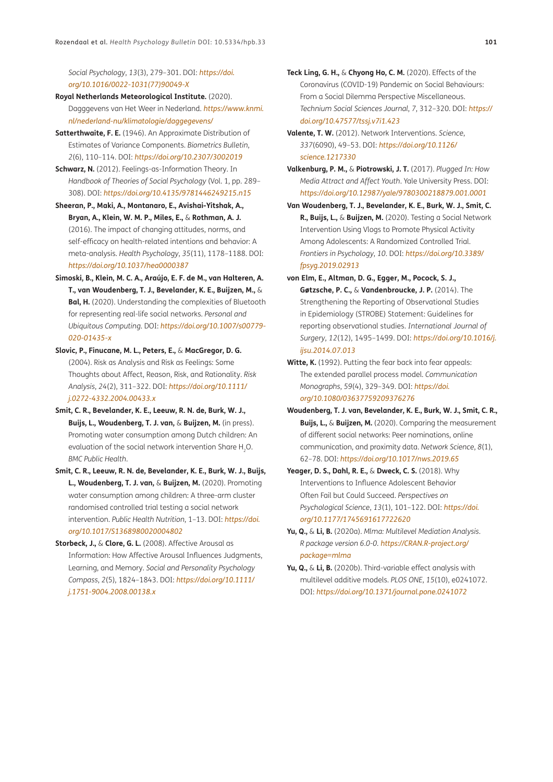*Social Psychology*, *13*(3), 279–301. DOI: *[https://doi.](https://doi.org/10.1016/0022-1031(77)90049-X) [org/10.1016/0022-1031\(77\)90049-X](https://doi.org/10.1016/0022-1031(77)90049-X)*

- **Royal Netherlands Meteorological Institute.** (2020). Dagggevens van Het Weer in Nederland. *[https://www.knmi.](https://www.knmi.nl/nederland-nu/klimatologie/daggegevens/) [nl/nederland-nu/klimatologie/daggegevens/](https://www.knmi.nl/nederland-nu/klimatologie/daggegevens/)*
- **Satterthwaite, F. E.** (1946). An Approximate Distribution of Estimates of Variance Components. *Biometrics Bulletin*, *2*(6), 110–114. DOI: *<https://doi.org/10.2307/3002019>*
- **Schwarz, N.** (2012). Feelings-as-Information Theory. In *Handbook of Theories of Social Psychology* (Vol. 1, pp. 289– 308). DOI: *<https://doi.org/10.4135/9781446249215.n15>*
- **Sheeran, P., Maki, A., Montanaro, E., Avishai-Yitshak, A., Bryan, A., Klein, W. M. P., Miles, E.,** & **Rothman, A. J.** (2016). The impact of changing attitudes, norms, and self-efficacy on health-related intentions and behavior: A meta-analysis. *Health Psychology*, *35*(11), 1178–1188. DOI: *<https://doi.org/10.1037/hea0000387>*
- **Simoski, B., Klein, M. C. A., Araújo, E. F. de M., van Halteren, A. T., van Woudenberg, T. J., Bevelander, K. E., Buijzen, M.,** & **Bal, H.** (2020). Understanding the complexities of Bluetooth for representing real-life social networks. *Personal and Ubiquitous Computing*. DOI: *[https://doi.org/10.1007/s00779-](https://doi.org/10.1007/s00779-020-01435-x) [020-01435-x](https://doi.org/10.1007/s00779-020-01435-x)*
- **Slovic, P., Finucane, M. L., Peters, E.,** & **MacGregor, D. G.** (2004). Risk as Analysis and Risk as Feelings: Some Thoughts about Affect, Reason, Risk, and Rationality. *Risk Analysis*, *24*(2), 311–322. DOI: *[https://doi.org/10.1111/](https://doi.org/10.1111/j.0272-4332.2004.00433.x) [j.0272-4332.2004.00433.x](https://doi.org/10.1111/j.0272-4332.2004.00433.x)*
- **Smit, C. R., Bevelander, K. E., Leeuw, R. N. de, Burk, W. J., Buijs, L., Woudenberg, T. J. van,** & **Buijzen, M.** (in press). Promoting water consumption among Dutch children: An evaluation of the social network intervention Share H<sub>2</sub>O. *BMC Public Health*.
- **Smit, C. R., Leeuw, R. N. de, Bevelander, K. E., Burk, W. J., Buijs, L., Woudenberg, T. J. van,** & **Buijzen, M.** (2020). Promoting water consumption among children: A three-arm cluster randomised controlled trial testing a social network intervention. *Public Health Nutrition*, 1–13. DOI: *[https://doi.](https://doi.org/10.1017/S1368980020004802) [org/10.1017/S1368980020004802](https://doi.org/10.1017/S1368980020004802)*
- **Storbeck, J.,** & **Clore, G. L.** (2008). Affective Arousal as Information: How Affective Arousal Influences Judgments, Learning, and Memory. *Social and Personality Psychology Compass*, *2*(5), 1824–1843. DOI: *[https://doi.org/10.1111/](https://doi.org/10.1111/j.1751-9004.2008.00138.x) [j.1751-9004.2008.00138.x](https://doi.org/10.1111/j.1751-9004.2008.00138.x)*
- **Teck Ling, G. H.,** & **Chyong Ho, C. M.** (2020). Effects of the Coronavirus (COVID-19) Pandemic on Social Behaviours: From a Social Dilemma Perspective Miscellaneous. *Technium Social Sciences Journal*, *7*, 312–320. DOI: *[https://](https://doi.org/10.47577/tssj.v7i1.423) [doi.org/10.47577/tssj.v7i1.423](https://doi.org/10.47577/tssj.v7i1.423)*
- **Valente, T. W.** (2012). Network Interventions. *Science*, *337*(6090), 49–53. DOI: *[https://doi.org/10.1126/](https://doi.org/10.1126/science.1217330) [science.1217330](https://doi.org/10.1126/science.1217330)*
- **Valkenburg, P. M.,** & **Piotrowski, J. T.** (2017). *Plugged In: How Media Attract and Affect Youth*. Yale University Press. DOI: *<https://doi.org/10.12987/yale/9780300218879.001.0001>*
- **Van Woudenberg, T. J., Bevelander, K. E., Burk, W. J., Smit, C. R., Buijs, L.,** & **Buijzen, M.** (2020). Testing a Social Network Intervention Using Vlogs to Promote Physical Activity Among Adolescents: A Randomized Controlled Trial. *Frontiers in Psychology*, *10*. DOI: *[https://doi.org/10.3389/](https://doi.org/10.3389/fpsyg.2019.02913) [fpsyg.2019.02913](https://doi.org/10.3389/fpsyg.2019.02913)*
- **von Elm, E., Altman, D. G., Egger, M., Pocock, S. J., Gøtzsche, P. C.,** & **Vandenbroucke, J. P.** (2014). The Strengthening the Reporting of Observational Studies in Epidemiology (STROBE) Statement: Guidelines for reporting observational studies. *International Journal of Surgery*, *12*(12), 1495–1499. DOI: *[https://doi.org/10.1016/j.](https://doi.org/10.1016/j.ijsu.2014.07.013) [ijsu.2014.07.013](https://doi.org/10.1016/j.ijsu.2014.07.013)*
- **Witte, K.** (1992). Putting the fear back into fear appeals: The extended parallel process model. *Communication Monographs*, *59*(4), 329–349. DOI: *[https://doi.](https://doi.org/10.1080/03637759209376276) [org/10.1080/03637759209376276](https://doi.org/10.1080/03637759209376276)*
- **Woudenberg, T. J. van, Bevelander, K. E., Burk, W. J., Smit, C. R., Buijs, L.,** & **Buijzen, M.** (2020). Comparing the measurement of different social networks: Peer nominations, online communication, and proximity data. *Network Science*, *8*(1), 62–78. DOI: *<https://doi.org/10.1017/nws.2019.65>*
- **Yeager, D. S., Dahl, R. E.,** & **Dweck, C. S.** (2018). Why Interventions to Influence Adolescent Behavior Often Fail but Could Succeed. *Perspectives on Psychological Science*, *13*(1), 101–122. DOI: *[https://doi.](https://doi.org/10.1177/1745691617722620) [org/10.1177/1745691617722620](https://doi.org/10.1177/1745691617722620)*
- **Yu, Q.,** & **Li, B.** (2020a). *Mlma: Multilevel Mediation Analysis. R package version 6.0-0. [https://CRAN.R-project.org/](https://CRAN.R-project.org/package=mlma) [package=mlma](https://CRAN.R-project.org/package=mlma)*
- **Yu, Q.,** & **Li, B.** (2020b). Third-variable effect analysis with multilevel additive models. *PLOS ONE*, *15*(10), e0241072. DOI: *<https://doi.org/10.1371/journal.pone.0241072>*